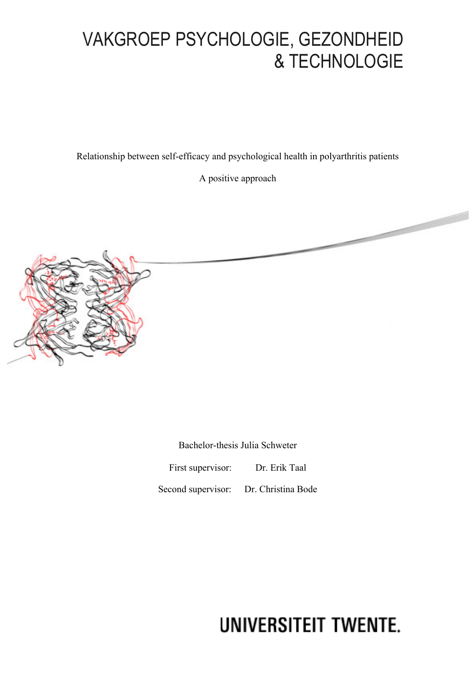# VAKGROEP PSYCHOLOGIE, GEZONDHEID & TECHNOLOGIE

Relationship between self-efficacy and psychological health in polyarthritis patients

A positive approach



Bachelor-thesis Julia Schweter First supervisor: Dr. Erik Taal

Second supervisor: Dr. Christina Bode

# UNIVERSITEIT TWENTE.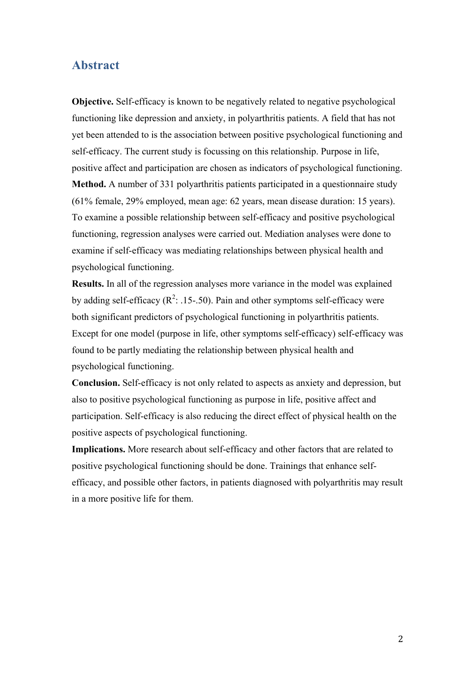# **Abstract**

**Objective.** Self-efficacy is known to be negatively related to negative psychological functioning like depression and anxiety, in polyarthritis patients. A field that has not yet been attended to is the association between positive psychological functioning and self-efficacy. The current study is focussing on this relationship. Purpose in life, positive affect and participation are chosen as indicators of psychological functioning. **Method.** A number of 331 polyarthritis patients participated in a questionnaire study (61% female, 29% employed, mean age: 62 years, mean disease duration: 15 years). To examine a possible relationship between self-efficacy and positive psychological functioning, regression analyses were carried out. Mediation analyses were done to examine if self-efficacy was mediating relationships between physical health and psychological functioning.

**Results.** In all of the regression analyses more variance in the model was explained by adding self-efficacy ( $\mathbb{R}^2$ : .15-.50). Pain and other symptoms self-efficacy were both significant predictors of psychological functioning in polyarthritis patients. Except for one model (purpose in life, other symptoms self-efficacy) self-efficacy was found to be partly mediating the relationship between physical health and psychological functioning.

**Conclusion.** Self-efficacy is not only related to aspects as anxiety and depression, but also to positive psychological functioning as purpose in life, positive affect and participation. Self-efficacy is also reducing the direct effect of physical health on the positive aspects of psychological functioning.

**Implications.** More research about self-efficacy and other factors that are related to positive psychological functioning should be done. Trainings that enhance selfefficacy, and possible other factors, in patients diagnosed with polyarthritis may result in a more positive life for them.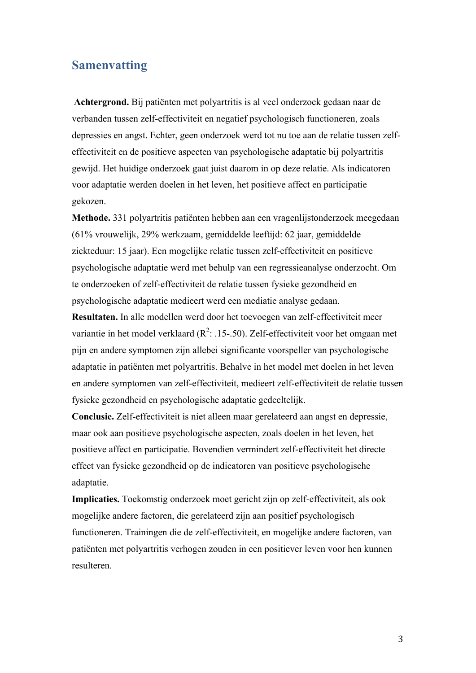# **Samenvatting**

**Achtergrond.** Bij patiënten met polyartritis is al veel onderzoek gedaan naar de verbanden tussen zelf-effectiviteit en negatief psychologisch functioneren, zoals depressies en angst. Echter, geen onderzoek werd tot nu toe aan de relatie tussen zelfeffectiviteit en de positieve aspecten van psychologische adaptatie bij polyartritis gewijd. Het huidige onderzoek gaat juist daarom in op deze relatie. Als indicatoren voor adaptatie werden doelen in het leven, het positieve affect en participatie gekozen.

**Methode.** 331 polyartritis patiënten hebben aan een vragenlijstonderzoek meegedaan (61% vrouwelijk, 29% werkzaam, gemiddelde leeftijd: 62 jaar, gemiddelde ziekteduur: 15 jaar). Een mogelijke relatie tussen zelf-effectiviteit en positieve psychologische adaptatie werd met behulp van een regressieanalyse onderzocht. Om te onderzoeken of zelf-effectiviteit de relatie tussen fysieke gezondheid en psychologische adaptatie medieert werd een mediatie analyse gedaan.

**Resultaten.** In alle modellen werd door het toevoegen van zelf-effectiviteit meer variantie in het model verklaard ( $R^2$ : .15-.50). Zelf-effectiviteit voor het omgaan met pijn en andere symptomen zijn allebei significante voorspeller van psychologische adaptatie in patiënten met polyartritis. Behalve in het model met doelen in het leven en andere symptomen van zelf-effectiviteit, medieert zelf-effectiviteit de relatie tussen fysieke gezondheid en psychologische adaptatie gedeeltelijk.

**Conclusie.** Zelf-effectiviteit is niet alleen maar gerelateerd aan angst en depressie, maar ook aan positieve psychologische aspecten, zoals doelen in het leven, het positieve affect en participatie. Bovendien vermindert zelf-effectiviteit het directe effect van fysieke gezondheid op de indicatoren van positieve psychologische adaptatie.

**Implicaties.** Toekomstig onderzoek moet gericht zijn op zelf-effectiviteit, als ook mogelijke andere factoren, die gerelateerd zijn aan positief psychologisch functioneren. Trainingen die de zelf-effectiviteit, en mogelijke andere factoren, van patiënten met polyartritis verhogen zouden in een positiever leven voor hen kunnen resulteren.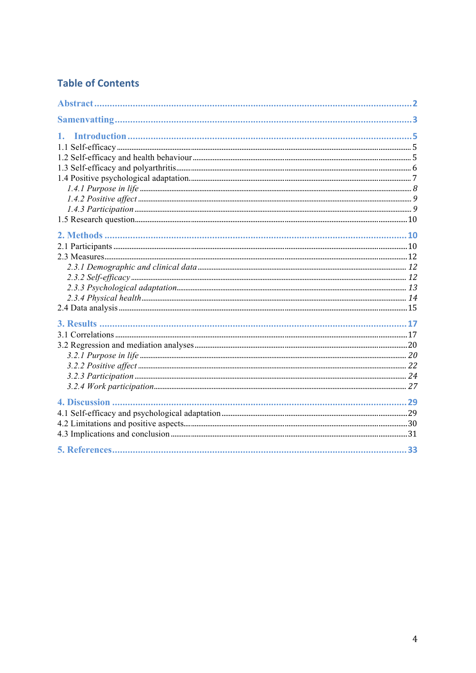# **Table of Contents**

| 4. Discussion |  |
|---------------|--|
|               |  |
|               |  |
|               |  |
|               |  |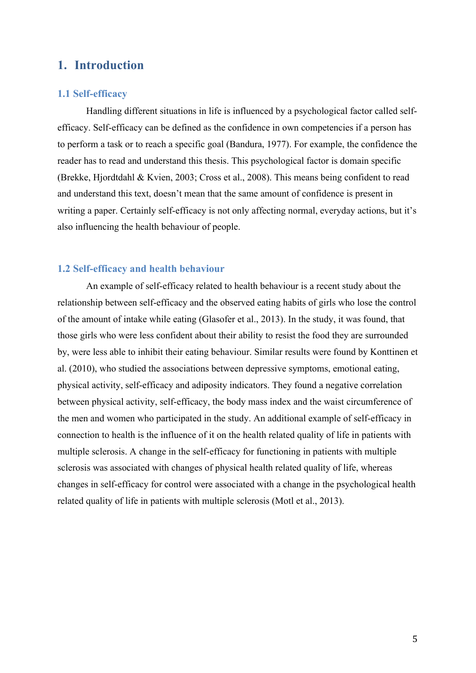# **1. Introduction**

# **1.1 Self-efficacy**

Handling different situations in life is influenced by a psychological factor called selfefficacy. Self-efficacy can be defined as the confidence in own competencies if a person has to perform a task or to reach a specific goal (Bandura, 1977). For example, the confidence the reader has to read and understand this thesis. This psychological factor is domain specific (Brekke, Hjordtdahl & Kvien, 2003; Cross et al., 2008). This means being confident to read and understand this text, doesn't mean that the same amount of confidence is present in writing a paper. Certainly self-efficacy is not only affecting normal, everyday actions, but it's also influencing the health behaviour of people.

# **1.2 Self-efficacy and health behaviour**

An example of self-efficacy related to health behaviour is a recent study about the relationship between self-efficacy and the observed eating habits of girls who lose the control of the amount of intake while eating (Glasofer et al., 2013). In the study, it was found, that those girls who were less confident about their ability to resist the food they are surrounded by, were less able to inhibit their eating behaviour. Similar results were found by Konttinen et al. (2010), who studied the associations between depressive symptoms, emotional eating, physical activity, self-efficacy and adiposity indicators. They found a negative correlation between physical activity, self-efficacy, the body mass index and the waist circumference of the men and women who participated in the study. An additional example of self-efficacy in connection to health is the influence of it on the health related quality of life in patients with multiple sclerosis. A change in the self-efficacy for functioning in patients with multiple sclerosis was associated with changes of physical health related quality of life, whereas changes in self-efficacy for control were associated with a change in the psychological health related quality of life in patients with multiple sclerosis (Motl et al., 2013).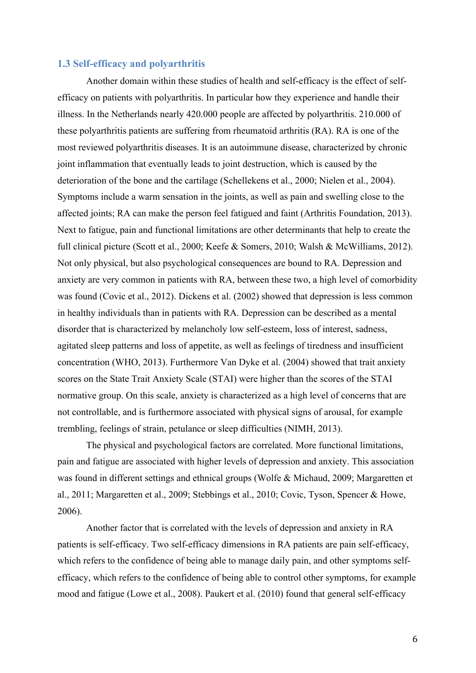# **1.3 Self-efficacy and polyarthritis**

Another domain within these studies of health and self-efficacy is the effect of selfefficacy on patients with polyarthritis. In particular how they experience and handle their illness. In the Netherlands nearly 420.000 people are affected by polyarthritis. 210.000 of these polyarthritis patients are suffering from rheumatoid arthritis (RA). RA is one of the most reviewed polyarthritis diseases. It is an autoimmune disease, characterized by chronic joint inflammation that eventually leads to joint destruction, which is caused by the deterioration of the bone and the cartilage (Schellekens et al., 2000; Nielen et al., 2004). Symptoms include a warm sensation in the joints, as well as pain and swelling close to the affected joints; RA can make the person feel fatigued and faint (Arthritis Foundation, 2013). Next to fatigue, pain and functional limitations are other determinants that help to create the full clinical picture (Scott et al., 2000; Keefe & Somers, 2010; Walsh & McWilliams, 2012). Not only physical, but also psychological consequences are bound to RA. Depression and anxiety are very common in patients with RA, between these two, a high level of comorbidity was found (Covic et al., 2012). Dickens et al. (2002) showed that depression is less common in healthy individuals than in patients with RA. Depression can be described as a mental disorder that is characterized by melancholy low self-esteem, loss of interest, sadness, agitated sleep patterns and loss of appetite, as well as feelings of tiredness and insufficient concentration (WHO, 2013). Furthermore Van Dyke et al. (2004) showed that trait anxiety scores on the State Trait Anxiety Scale (STAI) were higher than the scores of the STAI normative group. On this scale, anxiety is characterized as a high level of concerns that are not controllable, and is furthermore associated with physical signs of arousal, for example trembling, feelings of strain, petulance or sleep difficulties (NIMH, 2013).

The physical and psychological factors are correlated. More functional limitations, pain and fatigue are associated with higher levels of depression and anxiety. This association was found in different settings and ethnical groups (Wolfe & Michaud, 2009; Margaretten et al., 2011; Margaretten et al., 2009; Stebbings et al., 2010; Covic, Tyson, Spencer & Howe, 2006).

Another factor that is correlated with the levels of depression and anxiety in RA patients is self-efficacy. Two self-efficacy dimensions in RA patients are pain self-efficacy, which refers to the confidence of being able to manage daily pain, and other symptoms selfefficacy, which refers to the confidence of being able to control other symptoms, for example mood and fatigue (Lowe et al., 2008). Paukert et al. (2010) found that general self-efficacy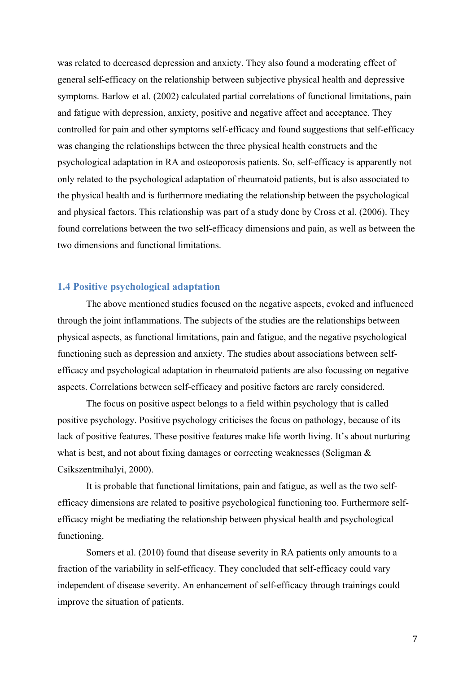was related to decreased depression and anxiety. They also found a moderating effect of general self-efficacy on the relationship between subjective physical health and depressive symptoms. Barlow et al. (2002) calculated partial correlations of functional limitations, pain and fatigue with depression, anxiety, positive and negative affect and acceptance. They controlled for pain and other symptoms self-efficacy and found suggestions that self-efficacy was changing the relationships between the three physical health constructs and the psychological adaptation in RA and osteoporosis patients. So, self-efficacy is apparently not only related to the psychological adaptation of rheumatoid patients, but is also associated to the physical health and is furthermore mediating the relationship between the psychological and physical factors. This relationship was part of a study done by Cross et al. (2006). They found correlations between the two self-efficacy dimensions and pain, as well as between the two dimensions and functional limitations.

# **1.4 Positive psychological adaptation**

The above mentioned studies focused on the negative aspects, evoked and influenced through the joint inflammations. The subjects of the studies are the relationships between physical aspects, as functional limitations, pain and fatigue, and the negative psychological functioning such as depression and anxiety. The studies about associations between selfefficacy and psychological adaptation in rheumatoid patients are also focussing on negative aspects. Correlations between self-efficacy and positive factors are rarely considered.

The focus on positive aspect belongs to a field within psychology that is called positive psychology. Positive psychology criticises the focus on pathology, because of its lack of positive features. These positive features make life worth living. It's about nurturing what is best, and not about fixing damages or correcting weaknesses (Seligman  $\&$ Csikszentmihalyi, 2000).

It is probable that functional limitations, pain and fatigue, as well as the two selfefficacy dimensions are related to positive psychological functioning too. Furthermore selfefficacy might be mediating the relationship between physical health and psychological functioning.

Somers et al. (2010) found that disease severity in RA patients only amounts to a fraction of the variability in self-efficacy. They concluded that self-efficacy could vary independent of disease severity. An enhancement of self-efficacy through trainings could improve the situation of patients.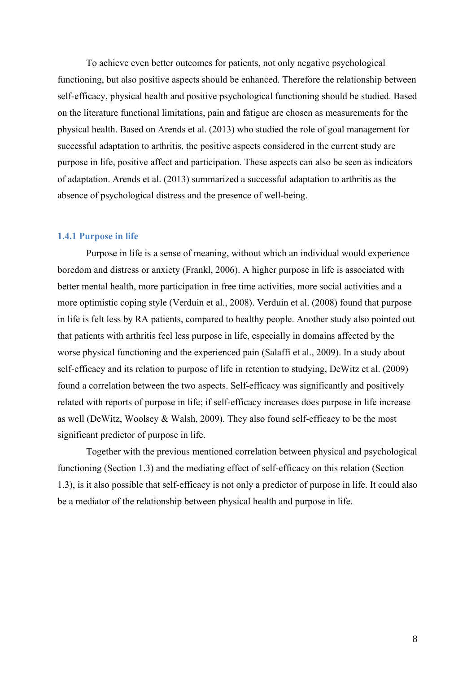To achieve even better outcomes for patients, not only negative psychological functioning, but also positive aspects should be enhanced. Therefore the relationship between self-efficacy, physical health and positive psychological functioning should be studied. Based on the literature functional limitations, pain and fatigue are chosen as measurements for the physical health. Based on Arends et al. (2013) who studied the role of goal management for successful adaptation to arthritis, the positive aspects considered in the current study are purpose in life, positive affect and participation. These aspects can also be seen as indicators of adaptation. Arends et al. (2013) summarized a successful adaptation to arthritis as the absence of psychological distress and the presence of well-being.

## **1.4.1 Purpose in life**

Purpose in life is a sense of meaning, without which an individual would experience boredom and distress or anxiety (Frankl, 2006). A higher purpose in life is associated with better mental health, more participation in free time activities, more social activities and a more optimistic coping style (Verduin et al., 2008). Verduin et al. (2008) found that purpose in life is felt less by RA patients, compared to healthy people. Another study also pointed out that patients with arthritis feel less purpose in life, especially in domains affected by the worse physical functioning and the experienced pain (Salaffi et al., 2009). In a study about self-efficacy and its relation to purpose of life in retention to studying, DeWitz et al. (2009) found a correlation between the two aspects. Self-efficacy was significantly and positively related with reports of purpose in life; if self-efficacy increases does purpose in life increase as well (DeWitz, Woolsey & Walsh, 2009). They also found self-efficacy to be the most significant predictor of purpose in life.

Together with the previous mentioned correlation between physical and psychological functioning (Section 1.3) and the mediating effect of self-efficacy on this relation (Section 1.3), is it also possible that self-efficacy is not only a predictor of purpose in life. It could also be a mediator of the relationship between physical health and purpose in life.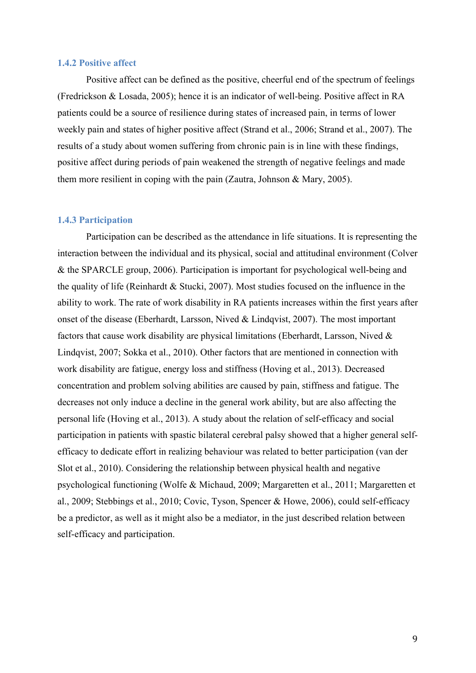#### **1.4.2 Positive affect**

Positive affect can be defined as the positive, cheerful end of the spectrum of feelings (Fredrickson & Losada, 2005); hence it is an indicator of well-being. Positive affect in RA patients could be a source of resilience during states of increased pain, in terms of lower weekly pain and states of higher positive affect (Strand et al., 2006; Strand et al., 2007). The results of a study about women suffering from chronic pain is in line with these findings, positive affect during periods of pain weakened the strength of negative feelings and made them more resilient in coping with the pain (Zautra, Johnson & Mary, 2005).

#### **1.4.3 Participation**

Participation can be described as the attendance in life situations. It is representing the interaction between the individual and its physical, social and attitudinal environment (Colver & the SPARCLE group, 2006). Participation is important for psychological well-being and the quality of life (Reinhardt & Stucki, 2007). Most studies focused on the influence in the ability to work. The rate of work disability in RA patients increases within the first years after onset of the disease (Eberhardt, Larsson, Nived & Lindqvist, 2007). The most important factors that cause work disability are physical limitations (Eberhardt, Larsson, Nived & Lindqvist, 2007; Sokka et al., 2010). Other factors that are mentioned in connection with work disability are fatigue, energy loss and stiffness (Hoving et al., 2013). Decreased concentration and problem solving abilities are caused by pain, stiffness and fatigue. The decreases not only induce a decline in the general work ability, but are also affecting the personal life (Hoving et al., 2013). A study about the relation of self-efficacy and social participation in patients with spastic bilateral cerebral palsy showed that a higher general selfefficacy to dedicate effort in realizing behaviour was related to better participation (van der Slot et al., 2010). Considering the relationship between physical health and negative psychological functioning (Wolfe & Michaud, 2009; Margaretten et al., 2011; Margaretten et al., 2009; Stebbings et al., 2010; Covic, Tyson, Spencer & Howe, 2006), could self-efficacy be a predictor, as well as it might also be a mediator, in the just described relation between self-efficacy and participation.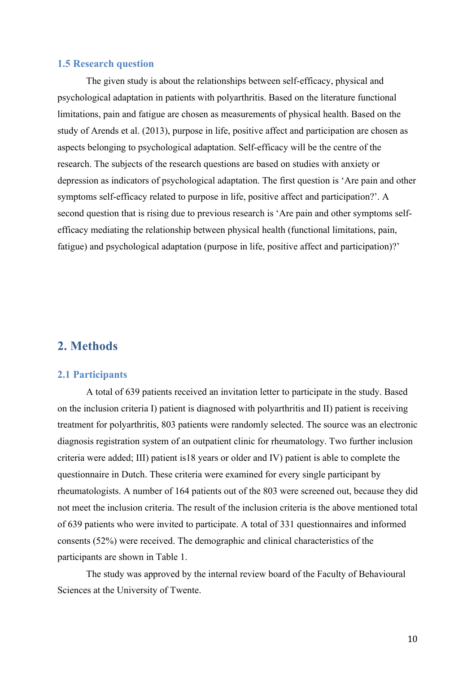#### **1.5 Research question**

The given study is about the relationships between self-efficacy, physical and psychological adaptation in patients with polyarthritis. Based on the literature functional limitations, pain and fatigue are chosen as measurements of physical health. Based on the study of Arends et al. (2013), purpose in life, positive affect and participation are chosen as aspects belonging to psychological adaptation. Self-efficacy will be the centre of the research. The subjects of the research questions are based on studies with anxiety or depression as indicators of psychological adaptation. The first question is 'Are pain and other symptoms self-efficacy related to purpose in life, positive affect and participation?'. A second question that is rising due to previous research is 'Are pain and other symptoms selfefficacy mediating the relationship between physical health (functional limitations, pain, fatigue) and psychological adaptation (purpose in life, positive affect and participation)?'

# **2. Methods**

#### **2.1 Participants**

A total of 639 patients received an invitation letter to participate in the study. Based on the inclusion criteria I) patient is diagnosed with polyarthritis and II) patient is receiving treatment for polyarthritis, 803 patients were randomly selected. The source was an electronic diagnosis registration system of an outpatient clinic for rheumatology. Two further inclusion criteria were added; III) patient is18 years or older and IV) patient is able to complete the questionnaire in Dutch. These criteria were examined for every single participant by rheumatologists. A number of 164 patients out of the 803 were screened out, because they did not meet the inclusion criteria. The result of the inclusion criteria is the above mentioned total of 639 patients who were invited to participate. A total of 331 questionnaires and informed consents (52%) were received. The demographic and clinical characteristics of the participants are shown in Table 1.

The study was approved by the internal review board of the Faculty of Behavioural Sciences at the University of Twente.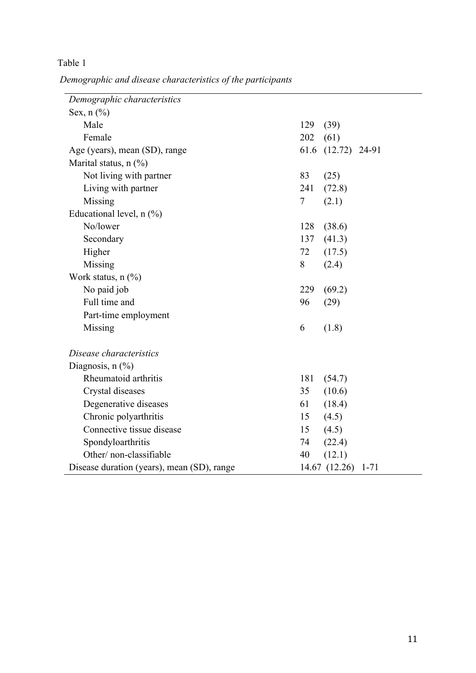*Demographic and disease characteristics of the participants*

| Demographic characteristics                |                           |  |
|--------------------------------------------|---------------------------|--|
| Sex, $n$ $(\%)$                            |                           |  |
| Male                                       | 129<br>(39)               |  |
| Female                                     | 202<br>(61)               |  |
| Age (years), mean (SD), range              | 61.6 (12.72) 24-91        |  |
| Marital status, $n$ (%)                    |                           |  |
| Not living with partner                    | 83<br>(25)                |  |
| Living with partner                        | 241<br>(72.8)             |  |
| Missing                                    | 7<br>(2.1)                |  |
| Educational level, $n$ $%$ )               |                           |  |
| No/lower                                   | 128<br>(38.6)             |  |
| Secondary                                  | 137<br>(41.3)             |  |
| Higher                                     | 72<br>(17.5)              |  |
| Missing                                    | 8<br>(2.4)                |  |
| Work status, $n$ $(\%)$                    |                           |  |
| No paid job                                | 229<br>(69.2)             |  |
| Full time and                              | 96<br>(29)                |  |
| Part-time employment                       |                           |  |
| Missing                                    | 6<br>(1.8)                |  |
| Disease characteristics                    |                           |  |
| Diagnosis, $n$ $(\%)$                      |                           |  |
| Rheumatoid arthritis                       | 181<br>(54.7)             |  |
| Crystal diseases                           | (10.6)<br>35              |  |
| Degenerative diseases                      | 61<br>(18.4)              |  |
| Chronic polyarthritis                      | (4.5)<br>15               |  |
| Connective tissue disease                  | (4.5)<br>15               |  |
| Spondyloarthritis                          | 74<br>(22.4)              |  |
| Other/non-classifiable                     | 40<br>(12.1)              |  |
| Disease duration (years), mean (SD), range | 14.67 (12.26)<br>$1 - 71$ |  |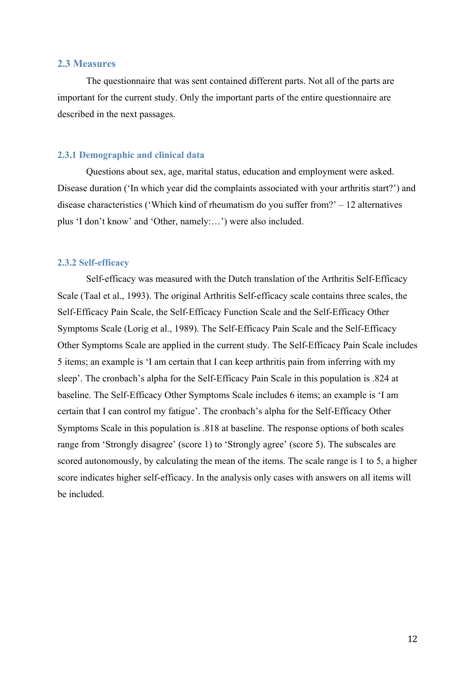# **2.3 Measures**

The questionnaire that was sent contained different parts. Not all of the parts are important for the current study. Only the important parts of the entire questionnaire are described in the next passages.

#### **2.3.1 Demographic and clinical data**

Questions about sex, age, marital status, education and employment were asked. Disease duration ('In which year did the complaints associated with your arthritis start?') and disease characteristics ('Which kind of rheumatism do you suffer from?' – 12 alternatives plus 'I don't know' and 'Other, namely:…') were also included.

#### **2.3.2 Self-efficacy**

Self-efficacy was measured with the Dutch translation of the Arthritis Self-Efficacy Scale (Taal et al., 1993). The original Arthritis Self-efficacy scale contains three scales, the Self-Efficacy Pain Scale, the Self-Efficacy Function Scale and the Self-Efficacy Other Symptoms Scale (Lorig et al., 1989). The Self-Efficacy Pain Scale and the Self-Efficacy Other Symptoms Scale are applied in the current study. The Self-Efficacy Pain Scale includes 5 items; an example is 'I am certain that I can keep arthritis pain from inferring with my sleep'. The cronbach's alpha for the Self-Efficacy Pain Scale in this population is .824 at baseline. The Self-Efficacy Other Symptoms Scale includes 6 items; an example is 'I am certain that I can control my fatigue'. The cronbach's alpha for the Self-Efficacy Other Symptoms Scale in this population is .818 at baseline. The response options of both scales range from 'Strongly disagree' (score 1) to 'Strongly agree' (score 5). The subscales are scored autonomously, by calculating the mean of the items. The scale range is 1 to 5, a higher score indicates higher self-efficacy. In the analysis only cases with answers on all items will be included.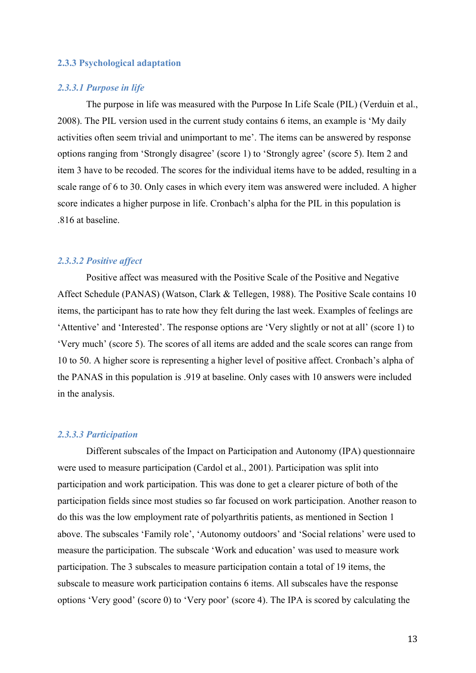#### **2.3.3 Psychological adaptation**

#### *2.3.3.1 Purpose in life*

The purpose in life was measured with the Purpose In Life Scale (PIL) (Verduin et al., 2008). The PIL version used in the current study contains 6 items, an example is 'My daily activities often seem trivial and unimportant to me'. The items can be answered by response options ranging from 'Strongly disagree' (score 1) to 'Strongly agree' (score 5). Item 2 and item 3 have to be recoded. The scores for the individual items have to be added, resulting in a scale range of 6 to 30. Only cases in which every item was answered were included. A higher score indicates a higher purpose in life. Cronbach's alpha for the PIL in this population is .816 at baseline.

#### *2.3.3.2 Positive affect*

Positive affect was measured with the Positive Scale of the Positive and Negative Affect Schedule (PANAS) (Watson, Clark & Tellegen, 1988). The Positive Scale contains 10 items, the participant has to rate how they felt during the last week. Examples of feelings are 'Attentive' and 'Interested'. The response options are 'Very slightly or not at all' (score 1) to 'Very much' (score 5). The scores of all items are added and the scale scores can range from 10 to 50. A higher score is representing a higher level of positive affect. Cronbach's alpha of the PANAS in this population is .919 at baseline. Only cases with 10 answers were included in the analysis.

#### *2.3.3.3 Participation*

Different subscales of the Impact on Participation and Autonomy (IPA) questionnaire were used to measure participation (Cardol et al., 2001). Participation was split into participation and work participation. This was done to get a clearer picture of both of the participation fields since most studies so far focused on work participation. Another reason to do this was the low employment rate of polyarthritis patients, as mentioned in Section 1 above. The subscales 'Family role', 'Autonomy outdoors' and 'Social relations' were used to measure the participation. The subscale 'Work and education' was used to measure work participation. The 3 subscales to measure participation contain a total of 19 items, the subscale to measure work participation contains 6 items. All subscales have the response options 'Very good' (score 0) to 'Very poor' (score 4). The IPA is scored by calculating the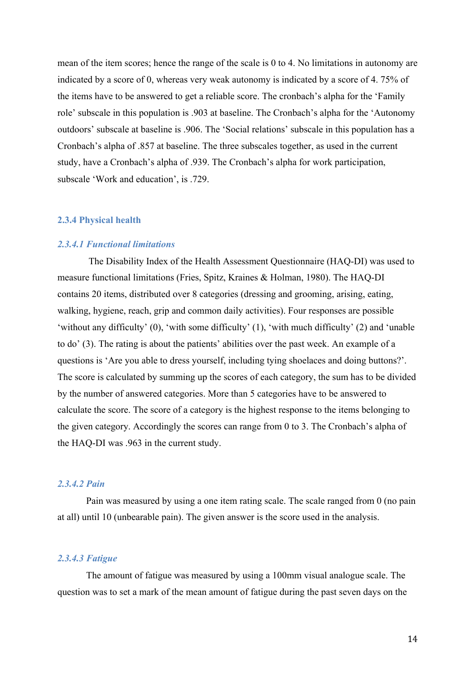mean of the item scores; hence the range of the scale is 0 to 4. No limitations in autonomy are indicated by a score of 0, whereas very weak autonomy is indicated by a score of 4. 75% of the items have to be answered to get a reliable score. The cronbach's alpha for the 'Family role' subscale in this population is .903 at baseline. The Cronbach's alpha for the 'Autonomy outdoors' subscale at baseline is .906. The 'Social relations' subscale in this population has a Cronbach's alpha of .857 at baseline. The three subscales together, as used in the current study, have a Cronbach's alpha of .939. The Cronbach's alpha for work participation, subscale 'Work and education', is .729.

## **2.3.4 Physical health**

# *2.3.4.1 Functional limitations*

The Disability Index of the Health Assessment Questionnaire (HAQ-DI) was used to measure functional limitations (Fries, Spitz, Kraines & Holman, 1980). The HAQ-DI contains 20 items, distributed over 8 categories (dressing and grooming, arising, eating, walking, hygiene, reach, grip and common daily activities). Four responses are possible 'without any difficulty' (0), 'with some difficulty' (1), 'with much difficulty' (2) and 'unable to do' (3). The rating is about the patients' abilities over the past week. An example of a questions is 'Are you able to dress yourself, including tying shoelaces and doing buttons?'. The score is calculated by summing up the scores of each category, the sum has to be divided by the number of answered categories. More than 5 categories have to be answered to calculate the score. The score of a category is the highest response to the items belonging to the given category. Accordingly the scores can range from 0 to 3. The Cronbach's alpha of the HAQ-DI was .963 in the current study.

# *2.3.4.2 Pain*

Pain was measured by using a one item rating scale. The scale ranged from 0 (no pain at all) until 10 (unbearable pain). The given answer is the score used in the analysis.

## *2.3.4.3 Fatigue*

The amount of fatigue was measured by using a 100mm visual analogue scale. The question was to set a mark of the mean amount of fatigue during the past seven days on the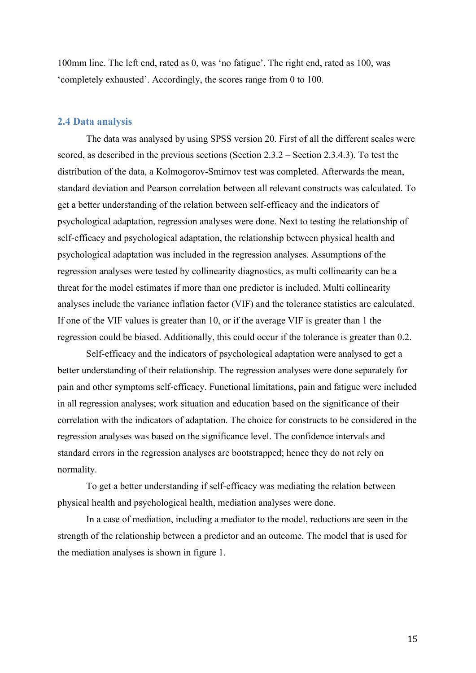100mm line. The left end, rated as 0, was 'no fatigue'. The right end, rated as 100, was 'completely exhausted'. Accordingly, the scores range from 0 to 100.

#### **2.4 Data analysis**

The data was analysed by using SPSS version 20. First of all the different scales were scored, as described in the previous sections (Section 2.3.2 – Section 2.3.4.3). To test the distribution of the data, a Kolmogorov-Smirnov test was completed. Afterwards the mean, standard deviation and Pearson correlation between all relevant constructs was calculated. To get a better understanding of the relation between self-efficacy and the indicators of psychological adaptation, regression analyses were done. Next to testing the relationship of self-efficacy and psychological adaptation, the relationship between physical health and psychological adaptation was included in the regression analyses. Assumptions of the regression analyses were tested by collinearity diagnostics, as multi collinearity can be a threat for the model estimates if more than one predictor is included. Multi collinearity analyses include the variance inflation factor (VIF) and the tolerance statistics are calculated. If one of the VIF values is greater than 10, or if the average VIF is greater than 1 the regression could be biased. Additionally, this could occur if the tolerance is greater than 0.2.

Self-efficacy and the indicators of psychological adaptation were analysed to get a better understanding of their relationship. The regression analyses were done separately for pain and other symptoms self-efficacy. Functional limitations, pain and fatigue were included in all regression analyses; work situation and education based on the significance of their correlation with the indicators of adaptation. The choice for constructs to be considered in the regression analyses was based on the significance level. The confidence intervals and standard errors in the regression analyses are bootstrapped; hence they do not rely on normality.

To get a better understanding if self-efficacy was mediating the relation between physical health and psychological health, mediation analyses were done.

In a case of mediation, including a mediator to the model, reductions are seen in the strength of the relationship between a predictor and an outcome. The model that is used for the mediation analyses is shown in figure 1.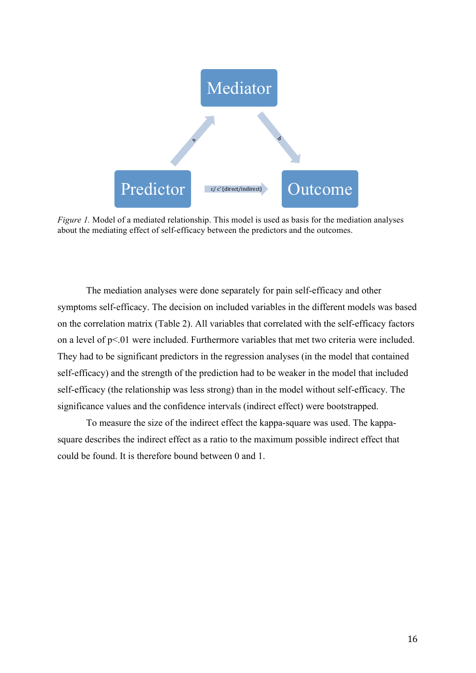

*Figure 1.* Model of a mediated relationship. This model is used as basis for the mediation analyses about the mediating effect of self-efficacy between the predictors and the outcomes.

The mediation analyses were done separately for pain self-efficacy and other symptoms self-efficacy. The decision on included variables in the different models was based on the correlation matrix (Table 2). All variables that correlated with the self-efficacy factors on a level of p<.01 were included. Furthermore variables that met two criteria were included. They had to be significant predictors in the regression analyses (in the model that contained self-efficacy) and the strength of the prediction had to be weaker in the model that included self-efficacy (the relationship was less strong) than in the model without self-efficacy. The significance values and the confidence intervals (indirect effect) were bootstrapped.

To measure the size of the indirect effect the kappa-square was used. The kappasquare describes the indirect effect as a ratio to the maximum possible indirect effect that could be found. It is therefore bound between 0 and 1.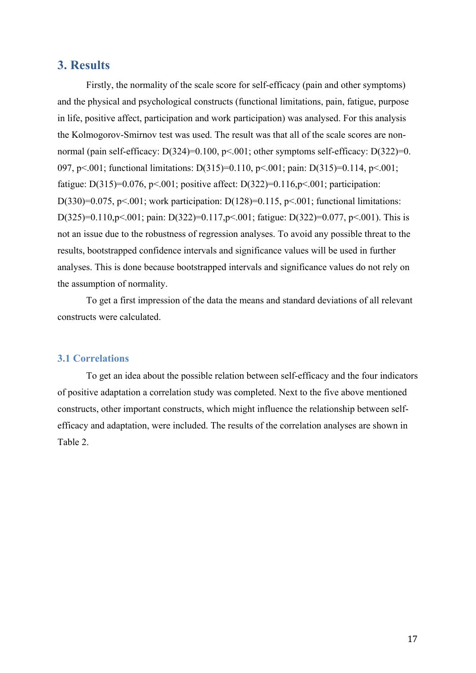# **3. Results**

Firstly, the normality of the scale score for self-efficacy (pain and other symptoms) and the physical and psychological constructs (functional limitations, pain, fatigue, purpose in life, positive affect, participation and work participation) was analysed. For this analysis the Kolmogorov-Smirnov test was used. The result was that all of the scale scores are nonnormal (pain self-efficacy: D(324)=0.100, p<.001; other symptoms self-efficacy: D(322)=0. 097, p<.001; functional limitations: D(315)=0.110, p<.001; pain: D(315)=0.114, p<.001; fatigue: D(315)=0.076, p<.001; positive affect: D(322)=0.116, p<.001; participation: D(330)=0.075, p<.001; work participation: D(128)=0.115, p<.001; functional limitations: D(325)=0.110,p<.001; pain: D(322)=0.117,p<.001; fatigue: D(322)=0.077, p<.001). This is not an issue due to the robustness of regression analyses. To avoid any possible threat to the results, bootstrapped confidence intervals and significance values will be used in further analyses. This is done because bootstrapped intervals and significance values do not rely on the assumption of normality.

To get a first impression of the data the means and standard deviations of all relevant constructs were calculated.

# **3.1 Correlations**

To get an idea about the possible relation between self-efficacy and the four indicators of positive adaptation a correlation study was completed. Next to the five above mentioned constructs, other important constructs, which might influence the relationship between selfefficacy and adaptation, were included. The results of the correlation analyses are shown in Table 2.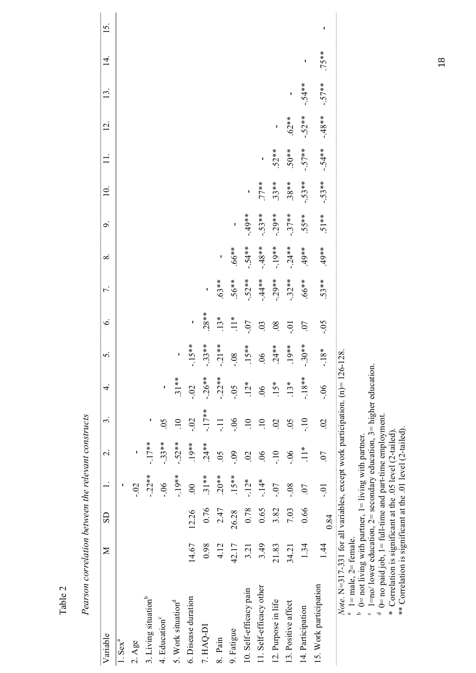| Variable                                                                                                            | $\geq$ | $\overline{S}$ |                | $\overline{\mathcal{L}}$ | $\epsilon$      | 4       | $\dot{\mathbf{c}}$ | Ġ.                               | 7.        | $\infty$  | $\mathcal{Q}$ | $\overline{10}$ . |          | $\overline{5}$ | $\mathbf{13}$ | $\overline{4}$ | 15 |
|---------------------------------------------------------------------------------------------------------------------|--------|----------------|----------------|--------------------------|-----------------|---------|--------------------|----------------------------------|-----------|-----------|---------------|-------------------|----------|----------------|---------------|----------------|----|
| $1.$ Sex $^{a}$                                                                                                     |        |                | ı              |                          |                 |         |                    |                                  |           |           |               |                   |          |                |               |                |    |
| $2. \text{Age}$                                                                                                     |        |                | $-0.2$         | ı                        |                 |         |                    |                                  |           |           |               |                   |          |                |               |                |    |
| 3. Living situation <sup>b</sup>                                                                                    |        |                | $-22**$        | $-17**$                  | ı               |         |                    |                                  |           |           |               |                   |          |                |               |                |    |
| 4. Education <sup>c</sup>                                                                                           |        |                | $-0.5$         | $-.33**$                 | 65              | ı       |                    |                                  |           |           |               |                   |          |                |               |                |    |
| 5. Work situation <sup>d</sup>                                                                                      |        |                | $-19**$        | $-.52**$                 | $\overline{10}$ | $.31**$ | ľ                  |                                  |           |           |               |                   |          |                |               |                |    |
| 6. Disease duration                                                                                                 | 14.67  | 12.26          | $\overline{0}$ | $.19**$                  | $-0.2$          | $-0.2$  | $-15**$            | I                                |           |           |               |                   |          |                |               |                |    |
| 7. HAQ-DI                                                                                                           | 0.98   | 0.76           | $31**$         | $.24**$                  | $-17**$         | $-26**$ | $-33**$            | $.28**$                          | ľ         |           |               |                   |          |                |               |                |    |
| 8. Pain                                                                                                             | 4.12   | 2.47           | $.20**$        | 0 <sub>5</sub>           | $\overline{a}$  | $-22**$ | $-21**$            |                                  | $.63**$   |           |               |                   |          |                |               |                |    |
| 9. Fatigue                                                                                                          | 42.17  | 26.28          | $.15***$       | $-0.9$                   | $-0.06$         | $-0.5$  | $80 -$             |                                  | $56**$    | $.66**$   |               |                   |          |                |               |                |    |
| 10. Self-efficacy pain                                                                                              | 3.21   | 0.78           | $-12*$         | $\overline{c}$           | $\overline{10}$ | $12*$   |                    |                                  | $-.52**$  | $-54**$   | $-49**$       |                   |          |                |               |                |    |
| 11. Self-efficacy other                                                                                             | 3.49   | 0.65           | $-14*$         | $\widetilde{90}$         | $\overline{10}$ | 06      | $.15**$<br>06      | $13*$<br>$11*$<br>$-07$<br>$-03$ | $-44**$   | $-48$ **  | $-.53**$      | $77**$            |          |                |               |                |    |
| 12. Purpose in life                                                                                                 | 21.83  | 3.82           | $-0.7$         | $-10$                    | $\overline{0}$  | $15*$   | $.24**$            |                                  | $-0.29**$ | $-19**$   | $-29**$       | $33**$            | $52**$   |                |               |                |    |
| 13. Positive affect                                                                                                 | 34.21  | 7.03           | $-0.8$         | $-0$ .                   | 65              | $13*$   | $19**$             | $-0.0$                           | $-32**$   | $-0.24**$ | $-37**$       | $38**$            | $50**$   | $.62**$        | I             |                |    |
| 14. Participation                                                                                                   | 1.34   | 0.66           | 07             | $\stackrel{*}{=}$        | $-10$           | $-18**$ | $-30**$            | 07                               | $*899$ .  | $*804.$   | 55**          | $-53**$           | $-.57**$ | $-.52**$       | $-54**$       |                |    |
| 15. Work participation                                                                                              | 1.44   | 0.84           | $-0.1$         | 07                       | $\mathcal{L}$   | $90 -$  | $-18*$             | $-0.5$                           | $.53**$   | $*804.$   | $51**$        | $-.53**$          | $-54**$  | $-48$ **       | $-.57**$      | 75**           | ı  |
| Note. $N=317-331$ for all variables, except work participation. $(n)=12$<br>$1 = male$ , $2 = female$ .<br>$\alpha$ |        |                |                |                          |                 |         | 6-128.             |                                  |           |           |               |                   |          |                |               |                |    |
| $0 =$ not living with partner, $1 =$ living with partner.<br>م                                                      |        |                |                |                          |                 |         |                    |                                  |           |           |               |                   |          |                |               |                |    |
| $1 = no/$ lower education, $2 =$ secondary education, $3 =$ higher education<br>$\circ$                             |        |                |                |                          |                 |         |                    |                                  |           |           |               |                   |          |                |               |                |    |

Pearson correlation between the relevant constructs *Pearson correlation between the relevant constructs*

Table 2

<sup>6</sup>  $1 = n\omega$  lower education,  $2 =$  secondary education,  $3 =$  higher education.<br><sup>d</sup>  $0 = n\text{o}$  paid job,  $1 = \text{full-time}$  and part-time employment.<br>\* Correlation is significant at the .05 level (2-tailed).<br>\*\* Correlation is signif  $0=$  no paid job,  $1=$  full-time and part-time employment.

\* Correlation is significant at the .05 level (2-tailed).

\*\* Correlation is significant at the .01 level (2-tailed).

18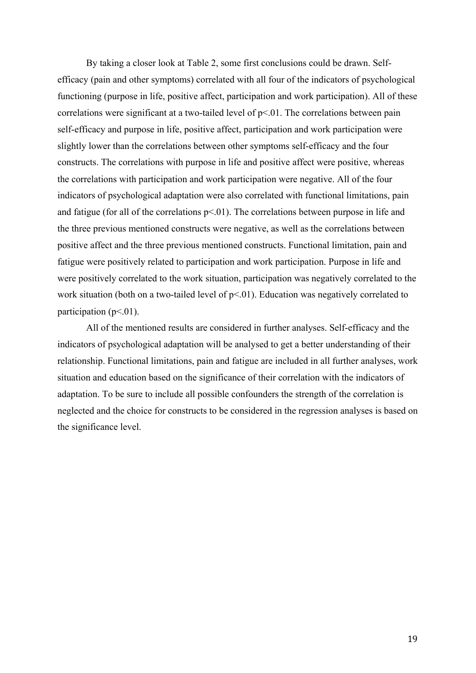By taking a closer look at Table 2, some first conclusions could be drawn. Selfefficacy (pain and other symptoms) correlated with all four of the indicators of psychological functioning (purpose in life, positive affect, participation and work participation). All of these correlations were significant at a two-tailed level of p<.01. The correlations between pain self-efficacy and purpose in life, positive affect, participation and work participation were slightly lower than the correlations between other symptoms self-efficacy and the four constructs. The correlations with purpose in life and positive affect were positive, whereas the correlations with participation and work participation were negative. All of the four indicators of psychological adaptation were also correlated with functional limitations, pain and fatigue (for all of the correlations  $p<0$ 1). The correlations between purpose in life and the three previous mentioned constructs were negative, as well as the correlations between positive affect and the three previous mentioned constructs. Functional limitation, pain and fatigue were positively related to participation and work participation. Purpose in life and were positively correlated to the work situation, participation was negatively correlated to the work situation (both on a two-tailed level of  $p<0$ ). Education was negatively correlated to participation ( $p<01$ ).

All of the mentioned results are considered in further analyses. Self-efficacy and the indicators of psychological adaptation will be analysed to get a better understanding of their relationship. Functional limitations, pain and fatigue are included in all further analyses, work situation and education based on the significance of their correlation with the indicators of adaptation. To be sure to include all possible confounders the strength of the correlation is neglected and the choice for constructs to be considered in the regression analyses is based on the significance level.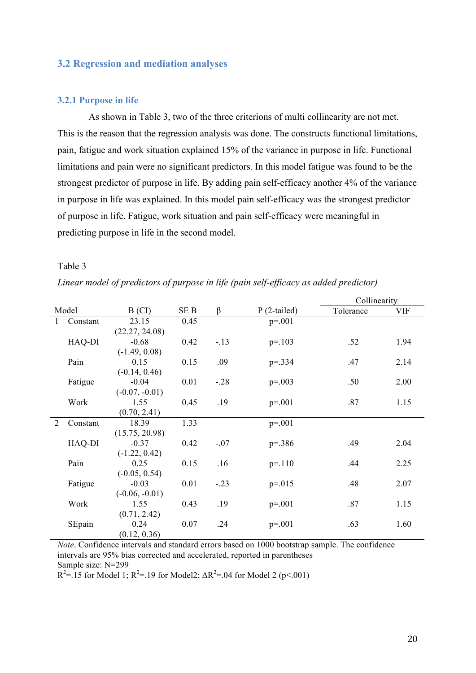# **3.2 Regression and mediation analyses**

#### **3.2.1 Purpose in life**

As shown in Table 3, two of the three criterions of multi collinearity are not met. This is the reason that the regression analysis was done. The constructs functional limitations, pain, fatigue and work situation explained 15% of the variance in purpose in life. Functional limitations and pain were no significant predictors. In this model fatigue was found to be the strongest predictor of purpose in life. By adding pain self-efficacy another 4% of the variance in purpose in life was explained. In this model pain self-efficacy was the strongest predictor of purpose in life. Fatigue, work situation and pain self-efficacy were meaningful in predicting purpose in life in the second model.

#### Table 3

| Linear model of predictors of purpose in life (pain self-efficacy as added predictor) |  |  |  |
|---------------------------------------------------------------------------------------|--|--|--|
|---------------------------------------------------------------------------------------|--|--|--|

|              |          |                  |      |         |               | Collinearity |            |
|--------------|----------|------------------|------|---------|---------------|--------------|------------|
|              | Model    | B (CI)           | SE B | $\beta$ | $P(2-tailed)$ | Tolerance    | <b>VIF</b> |
| $\mathbf{1}$ | Constant | 23.15            | 0.45 |         | $p = 0.01$    |              |            |
|              |          | (22.27, 24.08)   |      |         |               |              |            |
|              | HAQ-DI   | $-0.68$          | 0.42 | $-.13$  | $p = 103$     | .52          | 1.94       |
|              |          | $(-1.49, 0.08)$  |      |         |               |              |            |
|              | Pain     | 0.15             | 0.15 | .09     | $p = 334$     | .47          | 2.14       |
|              |          | $(-0.14, 0.46)$  |      |         |               |              |            |
|              | Fatigue  | $-0.04$          | 0.01 | $-.28$  | $p=.003$      | .50          | 2.00       |
|              |          | $(-0.07, -0.01)$ |      |         |               |              |            |
|              | Work     | 1.55             | 0.45 | .19     | $p = 0.001$   | .87          | 1.15       |
|              |          | (0.70, 2.41)     |      |         |               |              |            |
| 2            | Constant | 18.39            | 1.33 |         | $p=.001$      |              |            |
|              |          | (15.75, 20.98)   |      |         |               |              |            |
|              | HAQ-DI   | $-0.37$          | 0.42 | $-.07$  | $p = 386$     | .49          | 2.04       |
|              |          | $(-1.22, 0.42)$  |      |         |               |              |            |
|              | Pain     | 0.25             | 0.15 | .16     | $p = 110$     | .44          | 2.25       |
|              |          | $(-0.05, 0.54)$  |      |         |               |              |            |
|              | Fatigue  | $-0.03$          | 0.01 | $-.23$  | $p = 015$     | .48          | 2.07       |
|              |          | $(-0.06, -0.01)$ |      |         |               |              |            |
|              | Work     | 1.55             | 0.43 | .19     | $p=.001$      | .87          | 1.15       |
|              |          | (0.71, 2.42)     |      |         |               |              |            |
|              | SEpain   | 0.24             | 0.07 | .24     | $p=.001$      | .63          | 1.60       |
|              |          | (0.12, 0.36)     |      |         |               |              |            |

*Note*. Confidence intervals and standard errors based on 1000 bootstrap sample. The confidence intervals are 95% bias corrected and accelerated, reported in parentheses Sample size: N=299

 $R^2 = 15$  for Model 1;  $R^2 = 19$  for Model2;  $\Delta R^2 = 0.04$  for Model 2 (p<.001)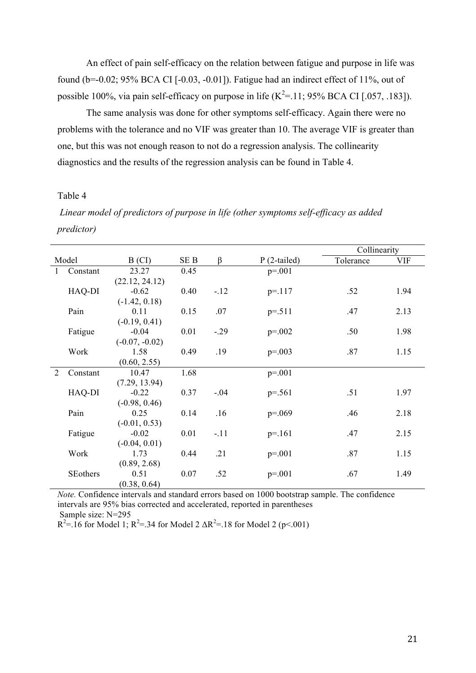An effect of pain self-efficacy on the relation between fatigue and purpose in life was found ( $b=-0.02$ ; 95% BCA CI [ $-0.03$ ,  $-0.01$ ]). Fatigue had an indirect effect of 11%, out of possible 100%, via pain self-efficacy on purpose in life  $(K^2=11; 95\%$  BCA CI [.057, .183]).

The same analysis was done for other symptoms self-efficacy. Again there were no problems with the tolerance and no VIF was greater than 10. The average VIF is greater than one, but this was not enough reason to not do a regression analysis. The collinearity diagnostics and the results of the regression analysis can be found in Table 4.

## Table 4

*Linear model of predictors of purpose in life (other symptoms self-efficacy as added predictor)*

|                |                         |                  |               |        |                                            | Collinearity                   |      |
|----------------|-------------------------|------------------|---------------|--------|--------------------------------------------|--------------------------------|------|
|                | Model                   | B (CI)           | SE B          | β      | $P(2-tailed)$                              | Tolerance                      | VIF  |
| $\mathbf{1}$   | Constant                | 23.27            | 0.45          |        | $p=.001$                                   |                                |      |
|                |                         | (22.12, 24.12)   |               |        |                                            |                                |      |
|                | HAQ-DI                  | $-0.62$          | 0.40          | $-12$  | $p = 117$                                  | .52                            | 1.94 |
|                |                         | $(-1.42, 0.18)$  |               |        |                                            |                                |      |
|                | Pain                    | 0.11             | 0.15          | .07    | $p = 511$                                  | .47                            | 2.13 |
|                |                         | $(-0.19, 0.41)$  |               |        |                                            |                                |      |
|                | Fatigue                 | $-0.04$          | 0.01          | $-.29$ | $p = 0.002$                                | .50                            | 1.98 |
|                |                         | $(-0.07, -0.02)$ |               |        |                                            |                                |      |
|                | Work                    | 1.58             | 0.49          | .19    | $p=.003$                                   | .87                            | 1.15 |
|                |                         | (0.60, 2.55)     |               |        |                                            |                                |      |
| $\overline{2}$ | Constant                | 10.47            | 1.68          |        | $p = 0.01$                                 |                                |      |
|                |                         | (7.29, 13.94)    |               |        |                                            |                                |      |
|                | HAQ-DI                  | $-0.22$          | 0.37          | $-.04$ | $p = 561$                                  | .51                            | 1.97 |
|                |                         | $(-0.98, 0.46)$  |               |        |                                            |                                |      |
|                | Pain                    | 0.25             | 0.14          | .16    | $p=.069$                                   | .46                            | 2.18 |
|                |                         | $(-0.01, 0.53)$  |               |        |                                            |                                |      |
|                | Fatigue                 | $-0.02$          | 0.01          | $-.11$ | $p = 161$                                  | .47                            | 2.15 |
|                |                         | $(-0.04, 0.01)$  |               |        |                                            |                                |      |
|                | Work                    | 1.73             | 0.44          | .21    | $p=.001$                                   | .87                            | 1.15 |
|                |                         | (0.89, 2.68)     |               |        |                                            |                                |      |
|                | SEothers                | 0.51             | 0.07          | .52    | $p=.001$                                   | .67                            | 1.49 |
| $\sim$ $\sim$  | $\sim$ $\sim$<br>$\sim$ | (0.38, 0.64)     | $\sim$ $\sim$ | $\sim$ | $\blacksquare$<br>$\lambda$ 0.00 $\lambda$ | $\sim$ $\sim$<br>$\sim$ $\sim$ |      |

*Note.* Confidence intervals and standard errors based on 1000 bootstrap sample. The confidence intervals are 95% bias corrected and accelerated, reported in parentheses Sample size: N=295

 $R^2 = 16$  for Model 1;  $R^2 = 34$  for Model 2  $\Delta R^2 = 18$  for Model 2 (p<.001)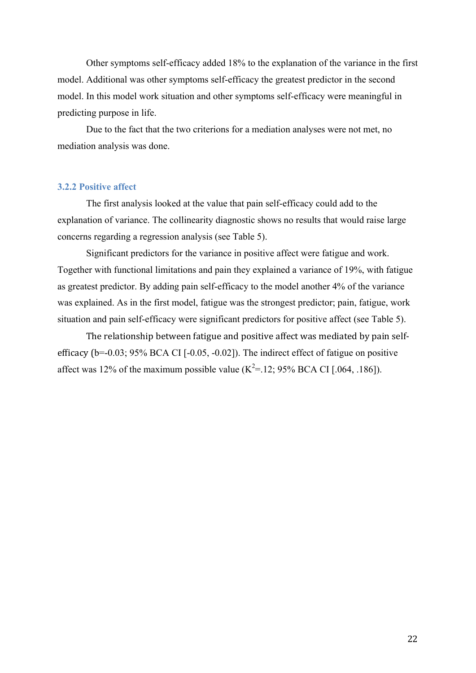Other symptoms self-efficacy added 18% to the explanation of the variance in the first model. Additional was other symptoms self-efficacy the greatest predictor in the second model. In this model work situation and other symptoms self-efficacy were meaningful in predicting purpose in life.

Due to the fact that the two criterions for a mediation analyses were not met, no mediation analysis was done.

#### **3.2.2 Positive affect**

The first analysis looked at the value that pain self-efficacy could add to the explanation of variance. The collinearity diagnostic shows no results that would raise large concerns regarding a regression analysis (see Table 5).

Significant predictors for the variance in positive affect were fatigue and work. Together with functional limitations and pain they explained a variance of 19%, with fatigue as greatest predictor. By adding pain self-efficacy to the model another 4% of the variance was explained. As in the first model, fatigue was the strongest predictor; pain, fatigue, work situation and pain self-efficacy were significant predictors for positive affect (see Table 5).

The relationship between fatigue and positive affect was mediated by pain selfefficacy  $(b=0.03; 95\%$  BCA CI  $[-0.05, -0.02]$ . The indirect effect of fatigue on positive affect was 12% of the maximum possible value ( $K^2 = 12$ ; 95% BCA CI [.064, .186]).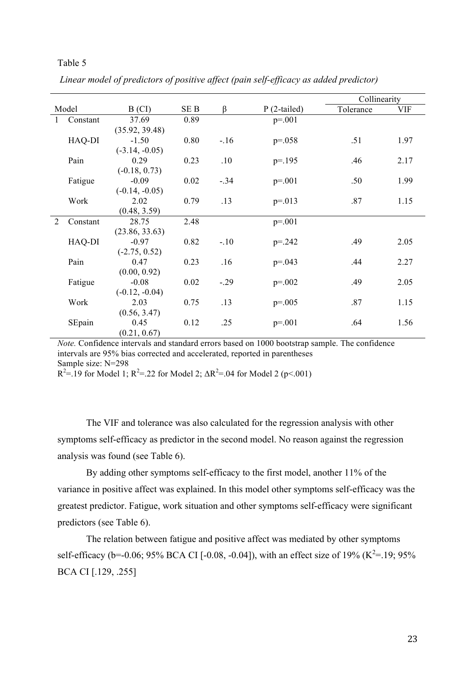|              |          |                  |      |        |               | Collinearity |            |
|--------------|----------|------------------|------|--------|---------------|--------------|------------|
|              | Model    | B (CI)           | SE B | β      | $P(2-tailed)$ | Tolerance    | <b>VIF</b> |
| $\mathbf{1}$ | Constant | 37.69            | 0.89 |        | $p=.001$      |              |            |
|              |          | (35.92, 39.48)   |      |        |               |              |            |
|              | HAQ-DI   | $-1.50$          | 0.80 | $-16$  | $p=.058$      | .51          | 1.97       |
|              |          | $(-3.14, -0.05)$ |      |        |               |              |            |
|              | Pain     | 0.29             | 0.23 | .10    | $p = 195$     | .46          | 2.17       |
|              |          | $(-0.18, 0.73)$  |      |        |               |              |            |
|              | Fatigue  | $-0.09$          | 0.02 | $-.34$ | $p=.001$      | .50          | 1.99       |
|              |          | $(-0.14, -0.05)$ |      |        |               |              |            |
|              | Work     | 2.02             | 0.79 | .13    | $p=.013$      | .87          | 1.15       |
|              |          | (0.48, 3.59)     |      |        |               |              |            |
| 2            | Constant | 28.75            | 2.48 |        | $p=.001$      |              |            |
|              |          | (23.86, 33.63)   |      |        |               |              |            |
|              | HAQ-DI   | $-0.97$          | 0.82 | $-.10$ | $p = 242$     | .49          | 2.05       |
|              |          | $(-2.75, 0.52)$  |      |        |               |              |            |
|              | Pain     | 0.47             | 0.23 | .16    | $p=.043$      | .44          | 2.27       |
|              |          | (0.00, 0.92)     |      |        |               |              |            |
|              | Fatigue  | $-0.08$          | 0.02 | $-.29$ | $p=.002$      | .49          | 2.05       |
|              |          | $(-0.12, -0.04)$ |      |        |               |              |            |
|              | Work     | 2.03             | 0.75 | .13    | $p=.005$      | .87          | 1.15       |
|              |          | (0.56, 3.47)     |      |        |               |              |            |
|              | SEpain   | 0.45             | 0.12 | .25    | $p=.001$      | .64          | 1.56       |
|              |          | (0.21, 0.67)     |      |        |               |              |            |

*Linear model of predictors of positive affect (pain self-efficacy as added predictor)*

*Note.* Confidence intervals and standard errors based on 1000 bootstrap sample. The confidence intervals are 95% bias corrected and accelerated, reported in parentheses Sample size: N=298

 $R^2 = .19$  for Model 1;  $R^2 = .22$  for Model 2;  $\Delta R^2 = .04$  for Model 2 (p<.001)

The VIF and tolerance was also calculated for the regression analysis with other symptoms self-efficacy as predictor in the second model. No reason against the regression analysis was found (see Table 6).

By adding other symptoms self-efficacy to the first model, another 11% of the variance in positive affect was explained. In this model other symptoms self-efficacy was the greatest predictor. Fatigue, work situation and other symptoms self-efficacy were significant predictors (see Table 6).

The relation between fatigue and positive affect was mediated by other symptoms self-efficacy (b=-0.06; 95% BCA CI [-0.08, -0.04]), with an effect size of 19% ( $K^2$ =.19; 95% BCA CI [.129, .255]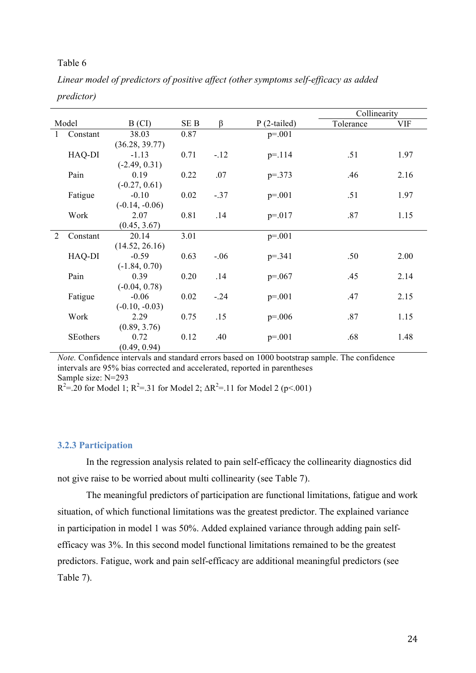|                |          |                  |      |        |               | Collinearity |      |
|----------------|----------|------------------|------|--------|---------------|--------------|------|
|                | Model    | B (CI)           | SE B | β      | $P(2-tailed)$ | Tolerance    | VIF  |
|                | Constant | 38.03            | 0.87 |        | $p=.001$      |              |      |
|                |          | (36.28, 39.77)   |      |        |               |              |      |
|                | HAQ-DI   | $-1.13$          | 0.71 | $-.12$ | $p = 114$     | .51          | 1.97 |
|                |          | $(-2.49, 0.31)$  |      |        |               |              |      |
|                | Pain     | 0.19             | 0.22 | .07    | $p = 0.373$   | .46          | 2.16 |
|                |          | $(-0.27, 0.61)$  |      |        |               |              |      |
|                | Fatigue  | $-0.10$          | 0.02 | $-.37$ | $p=.001$      | .51          | 1.97 |
|                |          | $(-0.14, -0.06)$ |      |        |               |              |      |
|                | Work     | 2.07             | 0.81 | .14    | $p = 017$     | .87          | 1.15 |
|                |          | (0.45, 3.67)     |      |        |               |              |      |
| $\overline{2}$ | Constant | 20.14            | 3.01 |        | $p = 001$     |              |      |
|                |          | (14.52, 26.16)   |      |        |               |              |      |
|                | HAQ-DI   | $-0.59$          | 0.63 | $-.06$ | $p = 341$     | .50          | 2.00 |
|                |          | $(-1.84, 0.70)$  |      |        |               |              |      |
|                | Pain     | 0.39             | 0.20 | .14    | $p=.067$      | .45          | 2.14 |
|                |          | $(-0.04, 0.78)$  |      |        |               |              |      |
|                | Fatigue  | $-0.06$          | 0.02 | $-.24$ | $p=.001$      | .47          | 2.15 |
|                |          | $(-0.10, -0.03)$ |      |        |               |              |      |
|                | Work     | 2.29             | 0.75 | .15    | $p=.006$      | .87          | 1.15 |
|                |          | (0.89, 3.76)     |      |        |               |              |      |
|                | SEothers | 0.72             | 0.12 | .40    | $p=.001$      | .68          | 1.48 |
|                |          | (0.49, 0.94)     |      |        |               |              |      |

*Linear model of predictors of positive affect (other symptoms self-efficacy as added predictor)*

*Note.* Confidence intervals and standard errors based on 1000 bootstrap sample. The confidence intervals are 95% bias corrected and accelerated, reported in parentheses Sample size: N=293

 $R^2 = .20$  for Model 1;  $R^2 = .31$  for Model 2;  $\Delta R^2 = .11$  for Model 2 (p<.001)

#### **3.2.3 Participation**

In the regression analysis related to pain self-efficacy the collinearity diagnostics did not give raise to be worried about multi collinearity (see Table 7).

The meaningful predictors of participation are functional limitations, fatigue and work situation, of which functional limitations was the greatest predictor. The explained variance in participation in model 1 was 50%. Added explained variance through adding pain selfefficacy was 3%. In this second model functional limitations remained to be the greatest predictors. Fatigue, work and pain self-efficacy are additional meaningful predictors (see Table 7).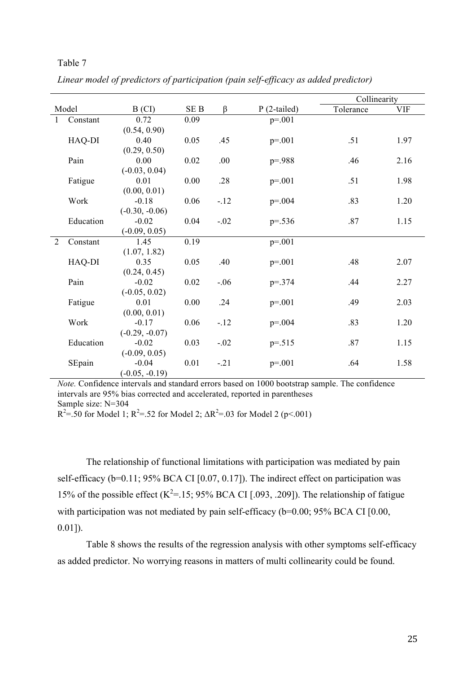|   |           |                         |                 |         |               | Collinearity |            |
|---|-----------|-------------------------|-----------------|---------|---------------|--------------|------------|
|   | Model     | B (CI)                  | SE <sub>B</sub> | $\beta$ | $P(2-tailed)$ | Tolerance    | <b>VIF</b> |
| 1 | Constant  | 0.72                    | 0.09            |         | $p=.001$      |              |            |
|   |           | (0.54, 0.90)            |                 |         |               |              |            |
|   | HAQ-DI    | 0.40                    | 0.05            | .45     | $p=.001$      | .51          | 1.97       |
|   |           | (0.29, 0.50)            |                 |         |               |              |            |
|   | Pain      | 0.00                    | 0.02            | .00     | $p = 988$     | .46          | 2.16       |
|   |           | $(-0.03, 0.04)$         |                 |         |               |              |            |
|   | Fatigue   | 0.01                    | 0.00            | .28     | $p=.001$      | .51          | 1.98       |
|   |           | (0.00, 0.01)            |                 |         |               |              |            |
|   | Work      | $-0.18$                 | 0.06            | $-12$   | $p=.004$      | .83          | 1.20       |
|   |           | $(-0.30, -0.06)$        |                 |         |               |              |            |
|   | Education | $-0.02$                 | 0.04            | $-.02$  | $p=.536$      | .87          | 1.15       |
|   |           | $(-0.09, 0.05)$         |                 |         |               |              |            |
| 2 | Constant  | 1.45                    | 0.19            |         | $p=.001$      |              |            |
|   |           | (1.07, 1.82)            |                 |         |               |              |            |
|   | HAQ-DI    | 0.35                    | 0.05            | .40     | $p=.001$      | .48          | 2.07       |
|   |           | (0.24, 0.45)            |                 |         |               |              |            |
|   | Pain      | $-0.02$                 | 0.02            | $-.06$  | $p=.374$      | .44          | 2.27       |
|   | Fatigue   | $(-0.05, 0.02)$<br>0.01 | 0.00            | .24     | $p=.001$      | .49          | 2.03       |
|   |           | (0.00, 0.01)            |                 |         |               |              |            |
|   | Work      | $-0.17$                 | 0.06            | $-12$   | $p=.004$      | .83          | 1.20       |
|   |           | $(-0.29, -0.07)$        |                 |         |               |              |            |
|   | Education | $-0.02$                 | 0.03            | $-.02$  | $p=.515$      | .87          | 1.15       |
|   |           | $(-0.09, 0.05)$         |                 |         |               |              |            |
|   | SEpain    | $-0.04$                 | 0.01            | $-.21$  | $p = 0.01$    | .64          | 1.58       |
|   |           | $(-0.05, -0.19)$        |                 |         |               |              |            |

*Linear model of predictors of participation (pain self-efficacy as added predictor)*

*Note.* Confidence intervals and standard errors based on 1000 bootstrap sample. The confidence intervals are 95% bias corrected and accelerated, reported in parentheses Sample size: N=304

 $R^2 = .50$  for Model 1;  $R^2 = .52$  for Model 2;  $\Delta R^2 = .03$  for Model 2 (p<.001)

The relationship of functional limitations with participation was mediated by pain self-efficacy (b=0.11; 95% BCA CI [0.07, 0.17]). The indirect effect on participation was 15% of the possible effect  $(K^2=15; 95\%$  BCA CI [.093, .209]). The relationship of fatigue with participation was not mediated by pain self-efficacy (b=0.00; 95% BCA CI [0.00, 0.01]).

Table 8 shows the results of the regression analysis with other symptoms self-efficacy as added predictor. No worrying reasons in matters of multi collinearity could be found.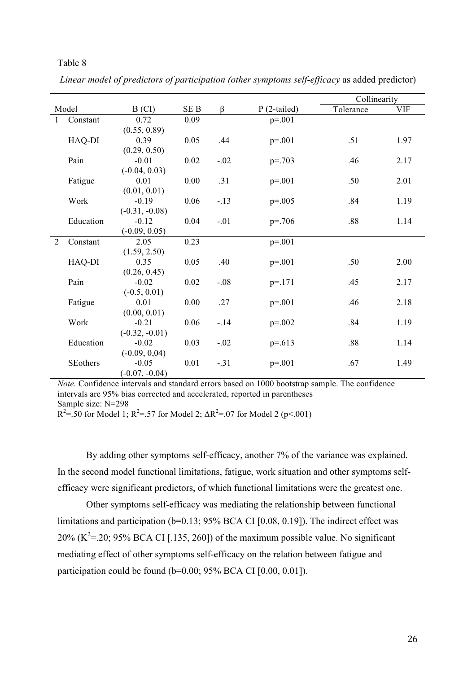|              |           |                  |                 |         |               | Collinearity |            |
|--------------|-----------|------------------|-----------------|---------|---------------|--------------|------------|
|              | Model     | B (CI)           | SE <sub>B</sub> | $\beta$ | $P(2-tailed)$ | Tolerance    | <b>VIF</b> |
| $\mathbf{1}$ | Constant  | 0.72             | 0.09            |         | $p=.001$      |              |            |
|              |           | (0.55, 0.89)     |                 |         |               |              |            |
|              | HAQ-DI    | 0.39             | 0.05            | .44     | $p=.001$      | .51          | 1.97       |
|              |           | (0.29, 0.50)     |                 |         |               |              |            |
|              | Pain      | $-0.01$          | 0.02            | $-.02$  | $p=.703$      | .46          | 2.17       |
|              |           | $(-0.04, 0.03)$  |                 |         |               |              |            |
|              | Fatigue   | 0.01             | 0.00            | .31     | $p=.001$      | .50          | 2.01       |
|              |           | (0.01, 0.01)     |                 |         |               |              |            |
|              | Work      | $-0.19$          | 0.06            | $-.13$  | $p=.005$      | .84          | 1.19       |
|              |           | $(-0.31, -0.08)$ |                 |         |               |              |            |
|              | Education | $-0.12$          | 0.04            | $-.01$  | $p = 706$     | .88          | 1.14       |
|              |           | $(-0.09, 0.05)$  |                 |         |               |              |            |
| 2            | Constant  | 2.05             | 0.23            |         | $p=.001$      |              |            |
|              |           | (1.59, 2.50)     |                 |         |               |              |            |
|              | HAQ-DI    | 0.35             | 0.05            | .40     | $p=.001$      | .50          | 2.00       |
|              |           | (0.26, 0.45)     |                 |         |               |              |            |
|              | Pain      | $-0.02$          | 0.02            | $-.08$  | $p = 171$     | .45          | 2.17       |
|              |           | $(-0.5, 0.01)$   |                 |         |               |              |            |
|              | Fatigue   | 0.01             | 0.00            | .27     | $p=.001$      | .46          | 2.18       |
|              |           | (0.00, 0.01)     |                 |         |               |              |            |
|              | Work      | $-0.21$          | 0.06            | $-14$   | $p=.002$      | .84          | 1.19       |
|              |           | $(-0.32, -0.01)$ |                 |         |               |              |            |
|              | Education | $-0.02$          | 0.03            | $-.02$  | $p=.613$      | .88          | 1.14       |
|              |           | $(-0.09, 0.04)$  |                 |         |               |              |            |
|              | SEothers  | $-0.05$          | 0.01            | $-31$   | $p=.001$      | .67          | 1.49       |
|              |           | $(-0.07, -0.04)$ |                 |         |               |              |            |

*Linear model of predictors of participation (other symptoms self-efficacy* as added predictor)

*Note.* Confidence intervals and standard errors based on 1000 bootstrap sample. The confidence intervals are 95% bias corrected and accelerated, reported in parentheses Sample size: N=298

 $R^2 = .50$  for Model 1;  $R^2 = .57$  for Model 2;  $\Delta R^2 = .07$  for Model 2 (p<.001)

By adding other symptoms self-efficacy, another 7% of the variance was explained. In the second model functional limitations, fatigue, work situation and other symptoms selfefficacy were significant predictors, of which functional limitations were the greatest one.

Other symptoms self-efficacy was mediating the relationship between functional limitations and participation (b=0.13; 95% BCA CI [0.08, 0.19]). The indirect effect was 20% ( $K^2$ =.20; 95% BCA CI [.135, 260]) of the maximum possible value. No significant mediating effect of other symptoms self-efficacy on the relation between fatigue and participation could be found (b=0.00; 95% BCA CI [0.00, 0.01]).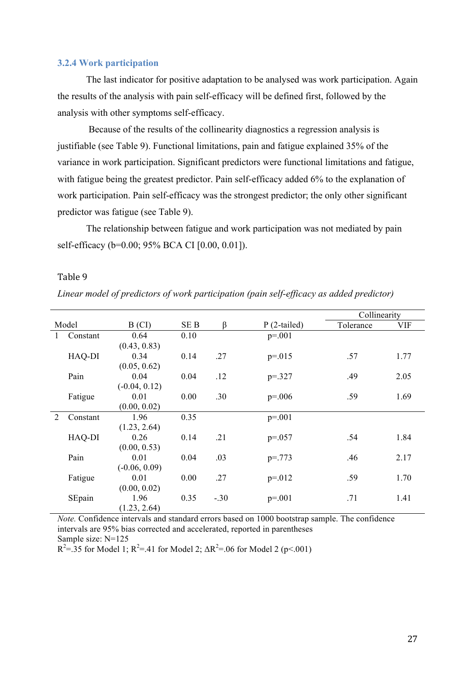#### **3.2.4 Work participation**

The last indicator for positive adaptation to be analysed was work participation. Again the results of the analysis with pain self-efficacy will be defined first, followed by the analysis with other symptoms self-efficacy.

Because of the results of the collinearity diagnostics a regression analysis is justifiable (see Table 9). Functional limitations, pain and fatigue explained 35% of the variance in work participation. Significant predictors were functional limitations and fatigue, with fatigue being the greatest predictor. Pain self-efficacy added 6% to the explanation of work participation. Pain self-efficacy was the strongest predictor; the only other significant predictor was fatigue (see Table 9).

The relationship between fatigue and work participation was not mediated by pain self-efficacy (b=0.00; 95% BCA CI [0.00, 0.01]).

# Table 9

*Linear model of predictors of work participation (pain self-efficacy as added predictor)*

|          |          |                 |                 |        |               | Collinearity |            |
|----------|----------|-----------------|-----------------|--------|---------------|--------------|------------|
|          | Model    | B (CI)          | SE <sub>B</sub> | β      | $P(2-tailed)$ | Tolerance    | <b>VIF</b> |
| $\bf{l}$ | Constant | 0.64            | 0.10            |        | $p=.001$      |              |            |
|          |          | (0.43, 0.83)    |                 |        |               |              |            |
|          | HAQ-DI   | 0.34            | 0.14            | .27    | $p = 015$     | .57          | 1.77       |
|          |          | (0.05, 0.62)    |                 |        |               |              |            |
|          | Pain     | 0.04            | 0.04            | .12    | $p = 327$     | .49          | 2.05       |
|          |          | $(-0.04, 0.12)$ |                 |        |               |              |            |
|          | Fatigue  | 0.01            | 0.00            | .30    | $p=.006$      | .59          | 1.69       |
|          |          | (0.00, 0.02)    |                 |        |               |              |            |
| 2        | Constant | 1.96            | 0.35            |        | $p = 001$     |              |            |
|          |          | (1.23, 2.64)    |                 |        |               |              |            |
|          | HAQ-DI   | 0.26            | 0.14            | .21    | $p=.057$      | .54          | 1.84       |
|          |          | (0.00, 0.53)    |                 |        |               |              |            |
|          | Pain     | 0.01            | 0.04            | .03    | $p = 773$     | .46          | 2.17       |
|          |          | $(-0.06, 0.09)$ |                 |        |               |              |            |
|          | Fatigue  | 0.01            | 0.00            | .27    | $p = 012$     | .59          | 1.70       |
|          |          | (0.00, 0.02)    |                 |        |               |              |            |
|          | SEpain   | 1.96            | 0.35            | $-.30$ | $p=.001$      | .71          | 1.41       |
|          |          | (1.23, 2.64)    |                 |        |               |              |            |

*Note.* Confidence intervals and standard errors based on 1000 bootstrap sample. The confidence intervals are 95% bias corrected and accelerated, reported in parentheses Sample size: N=125

 $R^2 = 35$  for Model 1;  $R^2 = 41$  for Model 2;  $\Delta R^2 = 06$  for Model 2 (p<.001)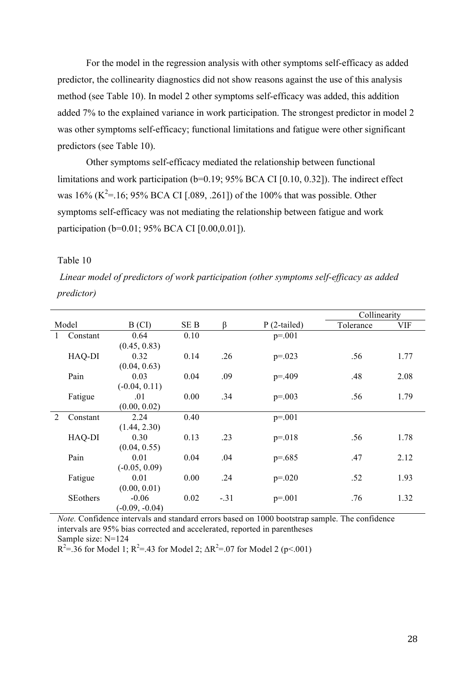For the model in the regression analysis with other symptoms self-efficacy as added predictor, the collinearity diagnostics did not show reasons against the use of this analysis method (see Table 10). In model 2 other symptoms self-efficacy was added, this addition added 7% to the explained variance in work participation. The strongest predictor in model 2 was other symptoms self-efficacy; functional limitations and fatigue were other significant predictors (see Table 10).

Other symptoms self-efficacy mediated the relationship between functional limitations and work participation (b=0.19; 95% BCA CI [0.10, 0.32]). The indirect effect was 16% ( $K^2$ =.16; 95% BCA CI [.089, .261]) of the 100% that was possible. Other symptoms self-efficacy was not mediating the relationship between fatigue and work participation (b=0.01; 95% BCA CI [0.00,0.01]).

# Table 10

*Linear model of predictors of work participation (other symptoms self-efficacy as added predictor)*

|   |                 |                  |      |        |               | Collinearity |            |
|---|-----------------|------------------|------|--------|---------------|--------------|------------|
|   | Model           | B (CI)           | SE B | β      | $P(2-tailed)$ | Tolerance    | <b>VIF</b> |
|   | Constant        | 0.64             | 0.10 |        | $p=.001$      |              |            |
|   |                 | (0.45, 0.83)     |      |        |               |              |            |
|   | HAQ-DI          | 0.32             | 0.14 | .26    | $p=.023$      | .56          | 1.77       |
|   |                 | (0.04, 0.63)     |      |        |               |              |            |
|   | Pain            | 0.03             | 0.04 | .09    | $p = 409$     | .48          | 2.08       |
|   |                 | $(-0.04, 0.11)$  |      |        |               |              |            |
|   | Fatigue         | .01              | 0.00 | .34    | $p=.003$      | .56          | 1.79       |
|   |                 | (0.00, 0.02)     |      |        |               |              |            |
| 2 | Constant        | 2.24             | 0.40 |        | $p = 0.001$   |              |            |
|   |                 | (1.44, 2.30)     |      |        |               |              |            |
|   | HAQ-DI          | 0.30             | 0.13 | .23    | $p = 018$     | .56          | 1.78       |
|   |                 | (0.04, 0.55)     |      |        |               |              |            |
|   | Pain            | 0.01             | 0.04 | .04    | $p=.685$      | .47          | 2.12       |
|   |                 | $(-0.05, 0.09)$  |      |        |               |              |            |
|   | Fatigue         | 0.01             | 0.00 | .24    | $p=.020$      | .52          | 1.93       |
|   |                 | (0.00, 0.01)     |      |        |               |              |            |
|   | <b>SEothers</b> | $-0.06$          | 0.02 | $-.31$ | $p=.001$      | .76          | 1.32       |
|   |                 | $(-0.09, -0.04)$ |      |        |               |              |            |

*Note.* Confidence intervals and standard errors based on 1000 bootstrap sample. The confidence intervals are 95% bias corrected and accelerated, reported in parentheses Sample size: N=124

 $R^2 = 36$  for Model 1;  $R^2 = 43$  for Model 2;  $\Delta R^2 = 0.07$  for Model 2 (p<.001)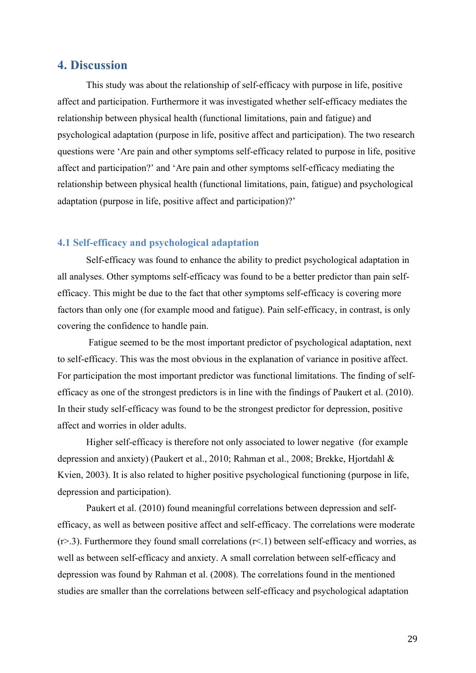# **4. Discussion**

This study was about the relationship of self-efficacy with purpose in life, positive affect and participation. Furthermore it was investigated whether self-efficacy mediates the relationship between physical health (functional limitations, pain and fatigue) and psychological adaptation (purpose in life, positive affect and participation). The two research questions were 'Are pain and other symptoms self-efficacy related to purpose in life, positive affect and participation?' and 'Are pain and other symptoms self-efficacy mediating the relationship between physical health (functional limitations, pain, fatigue) and psychological adaptation (purpose in life, positive affect and participation)?'

# **4.1 Self-efficacy and psychological adaptation**

Self-efficacy was found to enhance the ability to predict psychological adaptation in all analyses. Other symptoms self-efficacy was found to be a better predictor than pain selfefficacy. This might be due to the fact that other symptoms self-efficacy is covering more factors than only one (for example mood and fatigue). Pain self-efficacy, in contrast, is only covering the confidence to handle pain.

Fatigue seemed to be the most important predictor of psychological adaptation, next to self-efficacy. This was the most obvious in the explanation of variance in positive affect. For participation the most important predictor was functional limitations. The finding of selfefficacy as one of the strongest predictors is in line with the findings of Paukert et al. (2010). In their study self-efficacy was found to be the strongest predictor for depression, positive affect and worries in older adults.

Higher self-efficacy is therefore not only associated to lower negative (for example depression and anxiety) (Paukert et al., 2010; Rahman et al., 2008; Brekke, Hjortdahl & Kvien, 2003). It is also related to higher positive psychological functioning (purpose in life, depression and participation).

Paukert et al. (2010) found meaningful correlations between depression and selfefficacy, as well as between positive affect and self-efficacy. The correlations were moderate  $(r>3)$ . Furthermore they found small correlations  $(r<1)$  between self-efficacy and worries, as well as between self-efficacy and anxiety. A small correlation between self-efficacy and depression was found by Rahman et al. (2008). The correlations found in the mentioned studies are smaller than the correlations between self-efficacy and psychological adaptation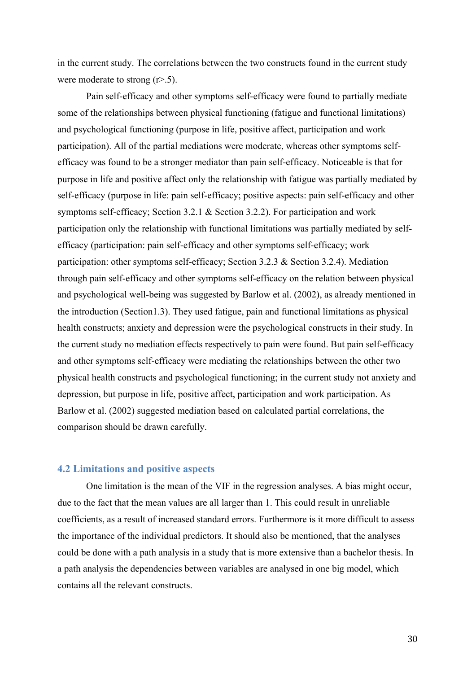in the current study. The correlations between the two constructs found in the current study were moderate to strong  $(r>0.5)$ .

Pain self-efficacy and other symptoms self-efficacy were found to partially mediate some of the relationships between physical functioning (fatigue and functional limitations) and psychological functioning (purpose in life, positive affect, participation and work participation). All of the partial mediations were moderate, whereas other symptoms selfefficacy was found to be a stronger mediator than pain self-efficacy. Noticeable is that for purpose in life and positive affect only the relationship with fatigue was partially mediated by self-efficacy (purpose in life: pain self-efficacy; positive aspects: pain self-efficacy and other symptoms self-efficacy; Section 3.2.1 & Section 3.2.2). For participation and work participation only the relationship with functional limitations was partially mediated by selfefficacy (participation: pain self-efficacy and other symptoms self-efficacy; work participation: other symptoms self-efficacy; Section 3.2.3 & Section 3.2.4). Mediation through pain self-efficacy and other symptoms self-efficacy on the relation between physical and psychological well-being was suggested by Barlow et al. (2002), as already mentioned in the introduction (Section1.3). They used fatigue, pain and functional limitations as physical health constructs; anxiety and depression were the psychological constructs in their study. In the current study no mediation effects respectively to pain were found. But pain self-efficacy and other symptoms self-efficacy were mediating the relationships between the other two physical health constructs and psychological functioning; in the current study not anxiety and depression, but purpose in life, positive affect, participation and work participation. As Barlow et al. (2002) suggested mediation based on calculated partial correlations, the comparison should be drawn carefully.

# **4.2 Limitations and positive aspects**

One limitation is the mean of the VIF in the regression analyses. A bias might occur, due to the fact that the mean values are all larger than 1. This could result in unreliable coefficients, as a result of increased standard errors. Furthermore is it more difficult to assess the importance of the individual predictors. It should also be mentioned, that the analyses could be done with a path analysis in a study that is more extensive than a bachelor thesis. In a path analysis the dependencies between variables are analysed in one big model, which contains all the relevant constructs.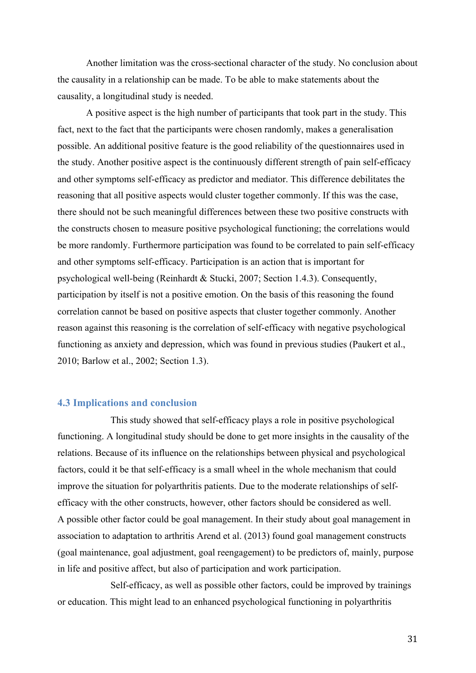Another limitation was the cross-sectional character of the study. No conclusion about the causality in a relationship can be made. To be able to make statements about the causality, a longitudinal study is needed.

A positive aspect is the high number of participants that took part in the study. This fact, next to the fact that the participants were chosen randomly, makes a generalisation possible. An additional positive feature is the good reliability of the questionnaires used in the study. Another positive aspect is the continuously different strength of pain self-efficacy and other symptoms self-efficacy as predictor and mediator. This difference debilitates the reasoning that all positive aspects would cluster together commonly. If this was the case, there should not be such meaningful differences between these two positive constructs with the constructs chosen to measure positive psychological functioning; the correlations would be more randomly. Furthermore participation was found to be correlated to pain self-efficacy and other symptoms self-efficacy. Participation is an action that is important for psychological well-being (Reinhardt & Stucki, 2007; Section 1.4.3). Consequently, participation by itself is not a positive emotion. On the basis of this reasoning the found correlation cannot be based on positive aspects that cluster together commonly. Another reason against this reasoning is the correlation of self-efficacy with negative psychological functioning as anxiety and depression, which was found in previous studies (Paukert et al., 2010; Barlow et al., 2002; Section 1.3).

#### **4.3 Implications and conclusion**

This study showed that self-efficacy plays a role in positive psychological functioning. A longitudinal study should be done to get more insights in the causality of the relations. Because of its influence on the relationships between physical and psychological factors, could it be that self-efficacy is a small wheel in the whole mechanism that could improve the situation for polyarthritis patients. Due to the moderate relationships of selfefficacy with the other constructs, however, other factors should be considered as well. A possible other factor could be goal management. In their study about goal management in association to adaptation to arthritis Arend et al. (2013) found goal management constructs (goal maintenance, goal adjustment, goal reengagement) to be predictors of, mainly, purpose in life and positive affect, but also of participation and work participation.

Self-efficacy, as well as possible other factors, could be improved by trainings or education. This might lead to an enhanced psychological functioning in polyarthritis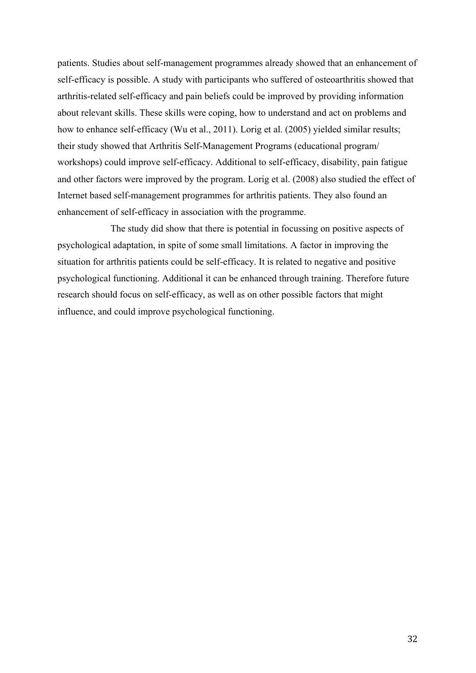patients. Studies about self-management programmes already showed that an enhancement of self-efficacy is possible. A study with participants who suffered of osteoarthritis showed that arthritis-related self-efficacy and pain beliefs could be improved by providing information about relevant skills. These skills were coping, how to understand and act on problems and how to enhance self-efficacy (Wu et al., 2011). Lorig et al. (2005) yielded similar results; their study showed that Arthritis Self-Management Programs (educational program/ workshops) could improve self-efficacy. Additional to self-efficacy, disability, pain fatigue and other factors were improved by the program. Lorig et al. (2008) also studied the effect of Internet based self-management programmes for arthritis patients. They also found an enhancement of self-efficacy in association with the programme.

The study did show that there is potential in focussing on positive aspects of psychological adaptation, in spite of some small limitations. A factor in improving the situation for arthritis patients could be self-efficacy. It is related to negative and positive psychological functioning. Additional it can be enhanced through training. Therefore future research should focus on self-efficacy, as well as on other possible factors that might influence, and could improve psychological functioning.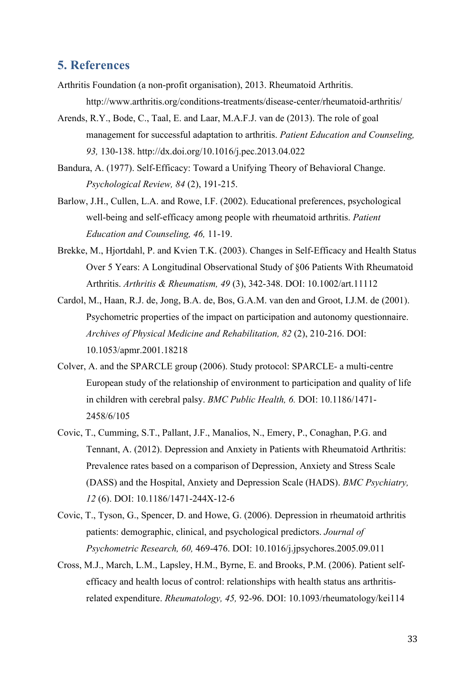# **5. References**

- Arthritis Foundation (a non-profit organisation), 2013. Rheumatoid Arthritis. http://www.arthritis.org/conditions-treatments/disease-center/rheumatoid-arthritis/
- Arends, R.Y., Bode, C., Taal, E. and Laar, M.A.F.J. van de (2013). The role of goal management for successful adaptation to arthritis. *Patient Education and Counseling, 93,* 130-138. http://dx.doi.org/10.1016/j.pec.2013.04.022
- Bandura, A. (1977). Self-Efficacy: Toward a Unifying Theory of Behavioral Change. *Psychological Review, 84* (2), 191-215.
- Barlow, J.H., Cullen, L.A. and Rowe, I.F. (2002). Educational preferences, psychological well-being and self-efficacy among people with rheumatoid arthritis. *Patient Education and Counseling, 46,* 11-19.
- Brekke, M., Hjortdahl, P. and Kvien T.K. (2003). Changes in Self-Efficacy and Health Status Over 5 Years: A Longitudinal Observational Study of §06 Patients With Rheumatoid Arthritis. *Arthritis & Rheumatism, 49* (3), 342-348. DOI: 10.1002/art.11112
- Cardol, M., Haan, R.J. de, Jong, B.A. de, Bos, G.A.M. van den and Groot, I.J.M. de (2001). Psychometric properties of the impact on participation and autonomy questionnaire. *Archives of Physical Medicine and Rehabilitation, 82* (2), 210-216. DOI: 10.1053/apmr.2001.18218
- Colver, A. and the SPARCLE group (2006). Study protocol: SPARCLE- a multi-centre European study of the relationship of environment to participation and quality of life in children with cerebral palsy. *BMC Public Health, 6.* DOI: 10.1186/1471- 2458/6/105
- Covic, T., Cumming, S.T., Pallant, J.F., Manalios, N., Emery, P., Conaghan, P.G. and Tennant, A. (2012). Depression and Anxiety in Patients with Rheumatoid Arthritis: Prevalence rates based on a comparison of Depression, Anxiety and Stress Scale (DASS) and the Hospital, Anxiety and Depression Scale (HADS). *BMC Psychiatry, 12* (6). DOI: 10.1186/1471-244X-12-6
- Covic, T., Tyson, G., Spencer, D. and Howe, G. (2006). Depression in rheumatoid arthritis patients: demographic, clinical, and psychological predictors. *Journal of Psychometric Research, 60,* 469-476. DOI: 10.1016/j.jpsychores.2005.09.011
- Cross, M.J., March, L.M., Lapsley, H.M., Byrne, E. and Brooks, P.M. (2006). Patient selfefficacy and health locus of control: relationships with health status ans arthritisrelated expenditure. *Rheumatology, 45,* 92-96. DOI: 10.1093/rheumatology/kei114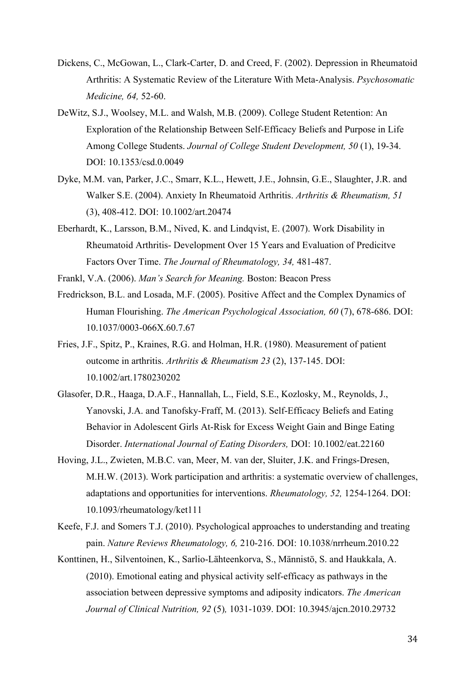- Dickens, C., McGowan, L., Clark-Carter, D. and Creed, F. (2002). Depression in Rheumatoid Arthritis: A Systematic Review of the Literature With Meta-Analysis. *Psychosomatic Medicine, 64,* 52-60.
- DeWitz, S.J., Woolsey, M.L. and Walsh, M.B. (2009). College Student Retention: An Exploration of the Relationship Between Self-Efficacy Beliefs and Purpose in Life Among College Students. *Journal of College Student Development, 50* (1), 19-34. DOI: 10.1353/csd.0.0049
- Dyke, M.M. van, Parker, J.C., Smarr, K.L., Hewett, J.E., Johnsin, G.E., Slaughter, J.R. and Walker S.E. (2004). Anxiety In Rheumatoid Arthritis. *Arthritis & Rheumatism, 51*  (3), 408-412. DOI: 10.1002/art.20474
- Eberhardt, K., Larsson, B.M., Nived, K. and Lindqvist, E. (2007). Work Disability in Rheumatoid Arthritis- Development Over 15 Years and Evaluation of Predicitve Factors Over Time. *The Journal of Rheumatology, 34,* 481-487.
- Frankl, V.A. (2006). *Man's Search for Meaning.* Boston: Beacon Press
- Fredrickson, B.L. and Losada, M.F. (2005). Positive Affect and the Complex Dynamics of Human Flourishing. *The American Psychological Association, 60* (7), 678-686. DOI: 10.1037/0003-066X.60.7.67
- Fries, J.F., Spitz, P., Kraines, R.G. and Holman, H.R. (1980). Measurement of patient outcome in arthritis. *Arthritis & Rheumatism 23* (2), 137-145. DOI: 10.1002/art.1780230202
- Glasofer, D.R., Haaga, D.A.F., Hannallah, L., Field, S.E., Kozlosky, M., Reynolds, J., Yanovski, J.A. and Tanofsky-Fraff, M. (2013). Self-Efficacy Beliefs and Eating Behavior in Adolescent Girls At-Risk for Excess Weight Gain and Binge Eating Disorder. *International Journal of Eating Disorders,* DOI: 10.1002/eat.22160
- Hoving, J.L., Zwieten, M.B.C. van, Meer, M. van der, Sluiter, J.K. and Frings-Dresen, M.H.W. (2013). Work participation and arthritis: a systematic overview of challenges, adaptations and opportunities for interventions. *Rheumatology, 52,* 1254-1264. DOI: 10.1093/rheumatology/ket111
- Keefe, F.J. and Somers T.J. (2010). Psychological approaches to understanding and treating pain. *Nature Reviews Rheumatology, 6,* 210-216. DOI: 10.1038/nrrheum.2010.22
- Konttinen, H., Silventoinen, K., Sarlio-Lähteenkorva, S., Männistö, S. and Haukkala, A. (2010). Emotional eating and physical activity self-efficacy as pathways in the association between depressive symptoms and adiposity indicators. *The American Journal of Clinical Nutrition, 92* (5)*,* 1031-1039. DOI: 10.3945/ajcn.2010.29732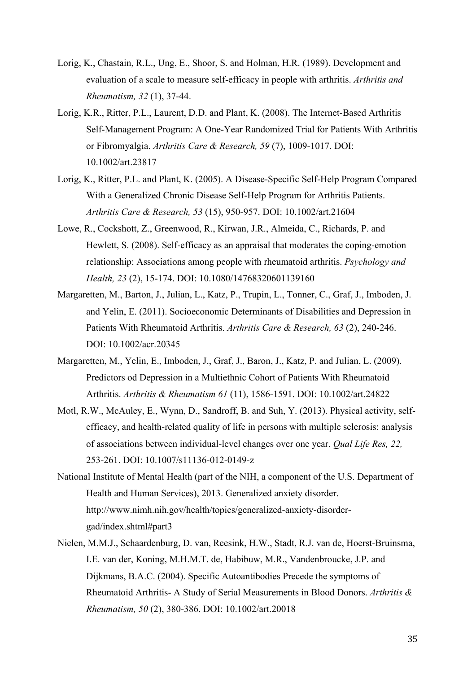- Lorig, K., Chastain, R.L., Ung, E., Shoor, S. and Holman, H.R. (1989). Development and evaluation of a scale to measure self-efficacy in people with arthritis. *Arthritis and Rheumatism, 32* (1), 37-44.
- Lorig, K.R., Ritter, P.L., Laurent, D.D. and Plant, K. (2008). The Internet-Based Arthritis Self-Management Program: A One-Year Randomized Trial for Patients With Arthritis or Fibromyalgia. *Arthritis Care & Research, 59* (7), 1009-1017. DOI: 10.1002/art.23817
- Lorig, K., Ritter, P.L. and Plant, K. (2005). A Disease-Specific Self-Help Program Compared With a Generalized Chronic Disease Self-Help Program for Arthritis Patients. *Arthritis Care & Research, 53* (15), 950-957. DOI: 10.1002/art.21604
- Lowe, R., Cockshott, Z., Greenwood, R., Kirwan, J.R., Almeida, C., Richards, P. and Hewlett, S. (2008). Self-efficacy as an appraisal that moderates the coping-emotion relationship: Associations among people with rheumatoid arthritis. *Psychology and Health, 23* (2), 15-174. DOI: 10.1080/14768320601139160
- Margaretten, M., Barton, J., Julian, L., Katz, P., Trupin, L., Tonner, C., Graf, J., Imboden, J. and Yelin, E. (2011). Socioeconomic Determinants of Disabilities and Depression in Patients With Rheumatoid Arthritis. *Arthritis Care & Research, 63* (2), 240-246. DOI: 10.1002/acr.20345
- Margaretten, M., Yelin, E., Imboden, J., Graf, J., Baron, J., Katz, P. and Julian, L. (2009). Predictors od Depression in a Multiethnic Cohort of Patients With Rheumatoid Arthritis. *Arthritis & Rheumatism 61* (11), 1586-1591. DOI: 10.1002/art.24822
- Motl, R.W., McAuley, E., Wynn, D., Sandroff, B. and Suh, Y. (2013). Physical activity, selfefficacy, and health-related quality of life in persons with multiple sclerosis: analysis of associations between individual-level changes over one year. *Qual Life Res, 22,*  253-261. DOI: 10.1007/s11136-012-0149-z
- National Institute of Mental Health (part of the NIH, a component of the U.S. Department of Health and Human Services), 2013. Generalized anxiety disorder. http://www.nimh.nih.gov/health/topics/generalized-anxiety-disordergad/index.shtml#part3
- Nielen, M.M.J., Schaardenburg, D. van, Reesink, H.W., Stadt, R.J. van de, Hoerst-Bruinsma, I.E. van der, Koning, M.H.M.T. de, Habibuw, M.R., Vandenbroucke, J.P. and Dijkmans, B.A.C. (2004). Specific Autoantibodies Precede the symptoms of Rheumatoid Arthritis- A Study of Serial Measurements in Blood Donors. *Arthritis & Rheumatism, 50* (2), 380-386. DOI: 10.1002/art.20018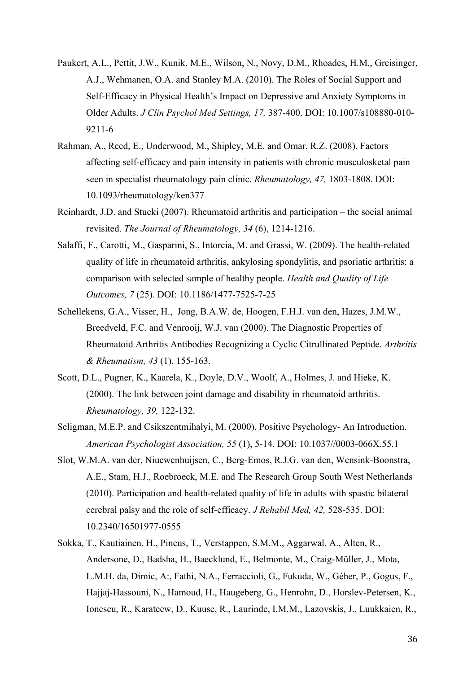- Paukert, A.L., Pettit, J.W., Kunik, M.E., Wilson, N., Novy, D.M., Rhoades, H.M., Greisinger, A.J., Wehmanen, O.A. and Stanley M.A. (2010). The Roles of Social Support and Self-Efficacy in Physical Health's Impact on Depressive and Anxiety Symptoms in Older Adults. *J Clin Psychol Med Settings, 17,* 387-400. DOI: 10.1007/s108880-010- 9211-6
- Rahman, A., Reed, E., Underwood, M., Shipley, M.E. and Omar, R.Z. (2008). Factors affecting self-efficacy and pain intensity in patients with chronic musculosketal pain seen in specialist rheumatology pain clinic. *Rheumatology, 47,* 1803-1808. DOI: 10.1093/rheumatology/ken377
- Reinhardt, J.D. and Stucki (2007). Rheumatoid arthritis and participation the social animal revisited. *The Journal of Rheumatology, 34* (6), 1214-1216.
- Salaffi, F., Carotti, M., Gasparini, S., Intorcia, M. and Grassi, W. (2009). The health-related quality of life in rheumatoid arthritis, ankylosing spondylitis, and psoriatic arthritis: a comparison with selected sample of healthy people. *Health and Quality of Life Outcomes, 7* (25). DOI: 10.1186/1477-7525-7-25
- Schellekens, G.A., Visser, H., Jong, B.A.W. de, Hoogen, F.H.J. van den, Hazes, J.M.W., Breedveld, F.C. and Venrooij, W.J. van (2000). The Diagnostic Properties of Rheumatoid Arthritis Antibodies Recognizing a Cyclic Citrullinated Peptide. *Arthritis & Rheumatism, 43* (1), 155-163.
- Scott, D.L., Pugner, K., Kaarela, K., Doyle, D.V., Woolf, A., Holmes, J. and Hieke, K. (2000). The link between joint damage and disability in rheumatoid arthritis. *Rheumatology, 39,* 122-132.
- Seligman, M.E.P. and Csikszentmihalyi, M. (2000). Positive Psychology- An Introduction. *American Psychologist Association, 55* (1), 5-14. DOI: 10.1037//0003-066X.55.1.5
- Slot, W.M.A. van der, Niuewenhuijsen, C., Berg-Emos, R.J.G. van den, Wensink-Boonstra, A.E., Stam, H.J., Roebroeck, M.E. and The Research Group South West Netherlands (2010). Participation and health-related quality of life in adults with spastic bilateral cerebral palsy and the role of self-efficacy. *J Rehabil Med, 42,* 528-535. DOI: 10.2340/16501977-0555
- Sokka, T., Kautiainen, H., Pincus, T., Verstappen, S.M.M., Aggarwal, A., Alten, R., Andersone, D., Badsha, H., Baecklund, E., Belmonte, M., Craig-Müller, J., Mota, L.M.H. da, Dimic, A:, Fathi, N.A., Ferraccioli, G., Fukuda, W., Géher, P., Gogus, F., Hajjaj-Hassouni, N., Hamoud, H., Haugeberg, G., Henrohn, D., Horslev-Petersen, K., Ionescu, R., Karateew, D., Kuuse, R., Laurinde, I.M.M., Lazovskis, J., Luukkaien, R.,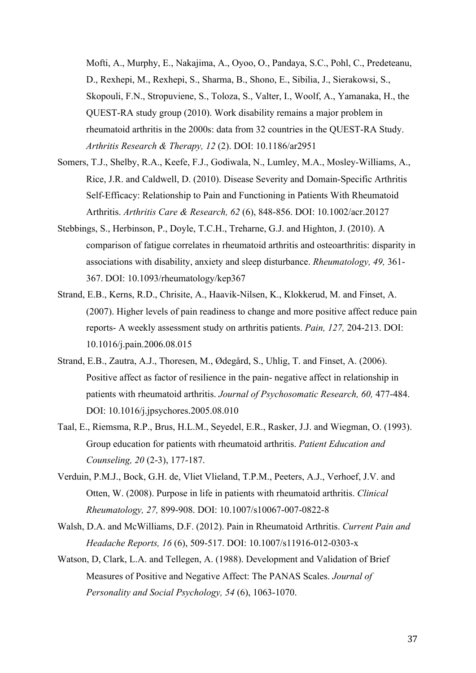Mofti, A., Murphy, E., Nakajima, A., Oyoo, O., Pandaya, S.C., Pohl, C., Predeteanu, D., Rexhepi, M., Rexhepi, S., Sharma, B., Shono, E., Sibilia, J., Sierakowsi, S., Skopouli, F.N., Stropuviene, S., Toloza, S., Valter, I., Woolf, A., Yamanaka, H., the QUEST-RA study group (2010). Work disability remains a major problem in rheumatoid arthritis in the 2000s: data from 32 countries in the QUEST-RA Study. *Arthritis Research & Therapy, 12* (2). DOI: 10.1186/ar2951

- Somers, T.J., Shelby, R.A., Keefe, F.J., Godiwala, N., Lumley, M.A., Mosley-Williams, A., Rice, J.R. and Caldwell, D. (2010). Disease Severity and Domain-Specific Arthritis Self-Efficacy: Relationship to Pain and Functioning in Patients With Rheumatoid Arthritis. *Arthritis Care & Research, 62* (6), 848-856. DOI: 10.1002/acr.20127
- Stebbings, S., Herbinson, P., Doyle, T.C.H., Treharne, G.J. and Highton, J. (2010). A comparison of fatigue correlates in rheumatoid arthritis and osteoarthritis: disparity in associations with disability, anxiety and sleep disturbance. *Rheumatology, 49,* 361- 367. DOI: 10.1093/rheumatology/kep367
- Strand, E.B., Kerns, R.D., Chrisite, A., Haavik-Nilsen, K., Klokkerud, M. and Finset, A. (2007). Higher levels of pain readiness to change and more positive affect reduce pain reports- A weekly assessment study on arthritis patients. *Pain, 127,* 204-213. DOI: 10.1016/j.pain.2006.08.015
- Strand, E.B., Zautra, A.J., Thoresen, M., Ødegård, S., Uhlig, T. and Finset, A. (2006). Positive affect as factor of resilience in the pain- negative affect in relationship in patients with rheumatoid arthritis. *Journal of Psychosomatic Research, 60,* 477-484. DOI: 10.1016/j.jpsychores.2005.08.010
- Taal, E., Riemsma, R.P., Brus, H.L.M., Seyedel, E.R., Rasker, J.J. and Wiegman, O. (1993). Group education for patients with rheumatoid arthritis. *Patient Education and Counseling, 20* (2-3), 177-187.
- Verduin, P.M.J., Bock, G.H. de, Vliet Vlieland, T.P.M., Peeters, A.J., Verhoef, J.V. and Otten, W. (2008). Purpose in life in patients with rheumatoid arthritis. *Clinical Rheumatology, 27,* 899-908. DOI: 10.1007/s10067-007-0822-8
- Walsh, D.A. and McWilliams, D.F. (2012). Pain in Rheumatoid Arthritis. *Current Pain and Headache Reports, 16* (6), 509-517. DOI: 10.1007/s11916-012-0303-x
- Watson, D, Clark, L.A. and Tellegen, A. (1988). Development and Validation of Brief Measures of Positive and Negative Affect: The PANAS Scales. *Journal of Personality and Social Psychology, 54* (6), 1063-1070.